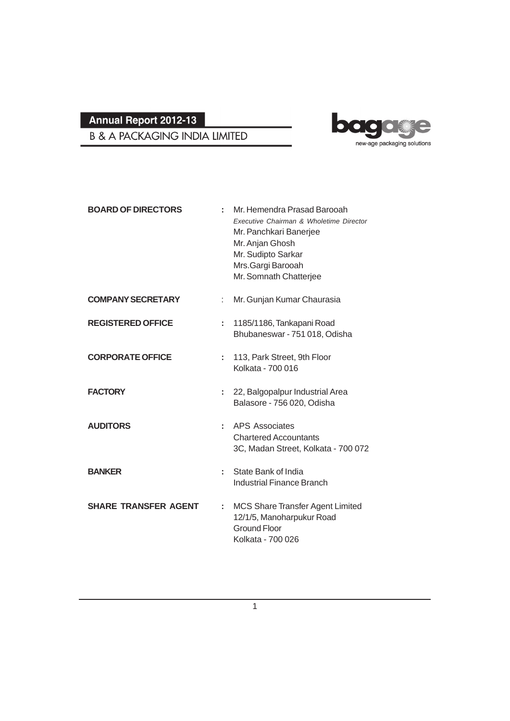## bag e new-age packaging solutions

**B & A PACKAGING INDIA LIMITED** 

| <b>BOARD OF DIRECTORS</b>   |    | Mr. Hemendra Prasad Barooah<br>Executive Chairman & Wholetime Director<br>Mr. Panchkari Banerjee<br>Mr. Anjan Ghosh<br>Mr. Sudipto Sarkar<br>Mrs.Gargi Barooah<br>Mr. Somnath Chatterjee |
|-----------------------------|----|------------------------------------------------------------------------------------------------------------------------------------------------------------------------------------------|
| <b>COMPANY SECRETARY</b>    |    | Mr. Gunjan Kumar Chaurasia                                                                                                                                                               |
| <b>REGISTERED OFFICE</b>    | ÷  | 1185/1186, Tankapani Road<br>Bhubaneswar - 751 018, Odisha                                                                                                                               |
| <b>CORPORATE OFFICE</b>     | ÷. | 113, Park Street, 9th Floor<br>Kolkata - 700 016                                                                                                                                         |
| <b>FACTORY</b>              | ÷. | 22, Balgopalpur Industrial Area<br>Balasore - 756 020, Odisha                                                                                                                            |
| <b>AUDITORS</b>             | ÷. | APS Associates<br><b>Chartered Accountants</b><br>3C, Madan Street, Kolkata - 700 072                                                                                                    |
| <b>BANKER</b>               | ÷. | State Bank of India<br>Industrial Finance Branch                                                                                                                                         |
| <b>SHARE TRANSFER AGENT</b> | ÷. | <b>MCS Share Transfer Agent Limited</b><br>12/1/5, Manoharpukur Road<br><b>Ground Floor</b><br>Kolkata - 700 026                                                                         |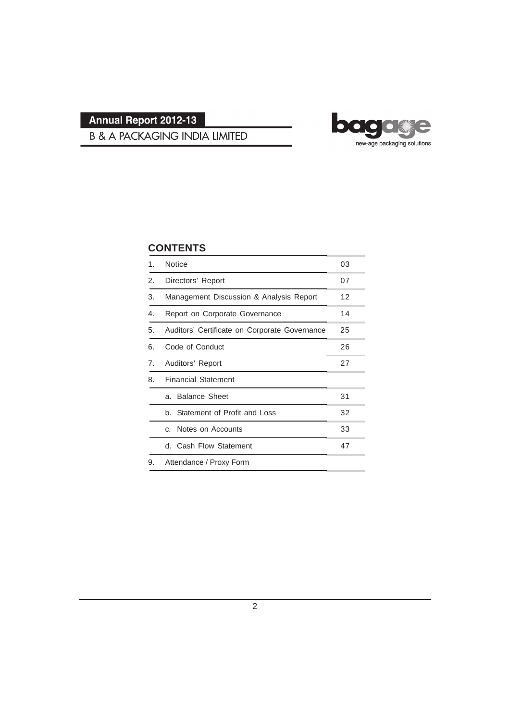

## **B & A PACKAGING INDIA LIMITED**

## **CONTENTS**

| 1. | <b>Notice</b>                                 | 03 |  |
|----|-----------------------------------------------|----|--|
| 2. | Directors' Report                             | 07 |  |
| 3. | Management Discussion & Analysis Report       | 12 |  |
| 4. | Report on Corporate Governance                | 14 |  |
| 5. | Auditors' Certificate on Corporate Governance | 25 |  |
| 6. | Code of Conduct                               | 26 |  |
| 7. | Auditors' Report                              |    |  |
| 8. | <b>Financial Statement</b>                    |    |  |
|    | <b>Balance Sheet</b><br>a.                    | 31 |  |
|    | b. Statement of Profit and Loss               | 32 |  |
|    | Notes on Accounts<br>C.                       | 33 |  |
|    | d. Cash Flow Statement                        | 47 |  |
| 9. | Attendance / Proxy Form                       |    |  |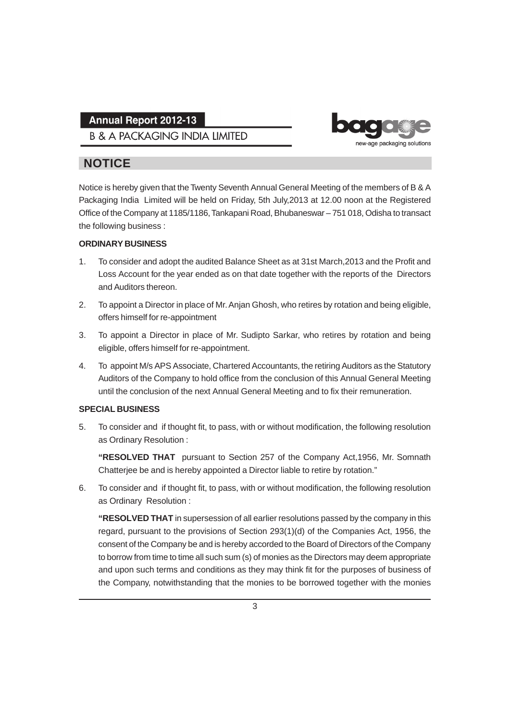**B & A PACKAGING INDIA LIMITED** 



## **NOTICE**

Notice is hereby given that the Twenty Seventh Annual General Meeting of the members of B & A Packaging India Limited will be held on Friday, 5th July,2013 at 12.00 noon at the Registered Office of the Company at 1185/1186, Tankapani Road, Bhubaneswar – 751 018, Odisha to transact the following business :

#### **ORDINARY BUSINESS**

- 1. To consider and adopt the audited Balance Sheet as at 31st March,2013 and the Profit and Loss Account for the year ended as on that date together with the reports of the Directors and Auditors thereon.
- 2. To appoint a Director in place of Mr. Anjan Ghosh, who retires by rotation and being eligible, offers himself for re-appointment
- 3. To appoint a Director in place of Mr. Sudipto Sarkar, who retires by rotation and being eligible, offers himself for re-appointment.
- 4. To appoint M/s APS Associate, Chartered Accountants, the retiring Auditors as the Statutory Auditors of the Company to hold office from the conclusion of this Annual General Meeting until the conclusion of the next Annual General Meeting and to fix their remuneration.

#### **SPECIAL BUSINESS**

5. To consider and if thought fit, to pass, with or without modification, the following resolution as Ordinary Resolution :

**"RESOLVED THAT** pursuant to Section 257 of the Company Act,1956, Mr. Somnath Chatterjee be and is hereby appointed a Director liable to retire by rotation."

6. To consider and if thought fit, to pass, with or without modification, the following resolution as Ordinary Resolution :

**"RESOLVED THAT** in supersession of all earlier resolutions passed by the company in this regard, pursuant to the provisions of Section 293(1)(d) of the Companies Act, 1956, the consent of the Company be and is hereby accorded to the Board of Directors of the Company to borrow from time to time all such sum (s) of monies as the Directors may deem appropriate and upon such terms and conditions as they may think fit for the purposes of business of the Company, notwithstanding that the monies to be borrowed together with the monies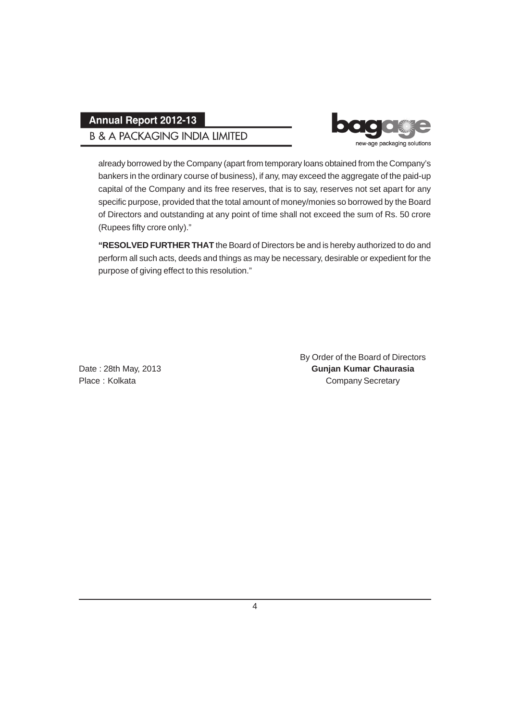## **B & A PACKAGING INDIA LIMITED**



already borrowed by the Company (apart from temporary loans obtained from the Company's bankers in the ordinary course of business), if any, may exceed the aggregate of the paid-up capital of the Company and its free reserves, that is to say, reserves not set apart for any specific purpose, provided that the total amount of money/monies so borrowed by the Board of Directors and outstanding at any point of time shall not exceed the sum of Rs. 50 crore (Rupees fifty crore only)."

**"RESOLVED FURTHER THAT** the Board of Directors be and is hereby authorized to do and perform all such acts, deeds and things as may be necessary, desirable or expedient for the purpose of giving effect to this resolution."

By Order of the Board of Directors Date : 28th May, 2013 **Gunjan Kumar Chaurasia** Place : Kolkata Company Secretary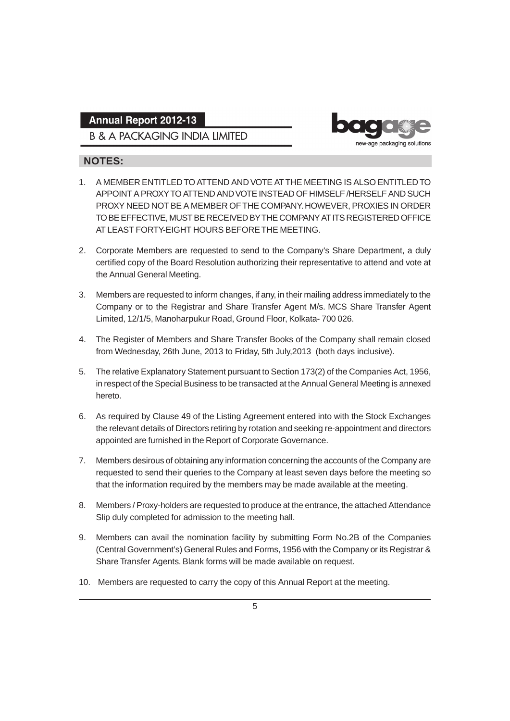## **B & A PACKAGING INDIA LIMITED**



### **NOTES:**

- 1. A MEMBER ENTITLED TO ATTEND AND VOTE AT THE MEETING IS ALSO ENTITLED TO APPOINT A PROXY TO ATTEND AND VOTE INSTEAD OF HIMSELF /HERSELF AND SUCH PROXY NEED NOT BE A MEMBER OF THE COMPANY. HOWEVER, PROXIES IN ORDER TO BE EFFECTIVE, MUST BE RECEIVED BY THE COMPANY AT ITS REGISTERED OFFICE AT LEAST FORTY-EIGHT HOURS BEFORE THE MEETING.
- 2. Corporate Members are requested to send to the Company's Share Department, a duly certified copy of the Board Resolution authorizing their representative to attend and vote at the Annual General Meeting.
- 3. Members are requested to inform changes, if any, in their mailing address immediately to the Company or to the Registrar and Share Transfer Agent M/s. MCS Share Transfer Agent Limited, 12/1/5, Manoharpukur Road, Ground Floor, Kolkata- 700 026.
- 4. The Register of Members and Share Transfer Books of the Company shall remain closed from Wednesday, 26th June, 2013 to Friday, 5th July,2013 (both days inclusive).
- 5. The relative Explanatory Statement pursuant to Section 173(2) of the Companies Act, 1956, in respect of the Special Business to be transacted at the Annual General Meeting is annexed hereto.
- 6. As required by Clause 49 of the Listing Agreement entered into with the Stock Exchanges the relevant details of Directors retiring by rotation and seeking re-appointment and directors appointed are furnished in the Report of Corporate Governance.
- 7. Members desirous of obtaining any information concerning the accounts of the Company are requested to send their queries to the Company at least seven days before the meeting so that the information required by the members may be made available at the meeting.
- 8. Members / Proxy-holders are requested to produce at the entrance, the attached Attendance Slip duly completed for admission to the meeting hall.
- 9. Members can avail the nomination facility by submitting Form No.2B of the Companies (Central Government's) General Rules and Forms, 1956 with the Company or its Registrar & Share Transfer Agents. Blank forms will be made available on request.
- 10. Members are requested to carry the copy of this Annual Report at the meeting.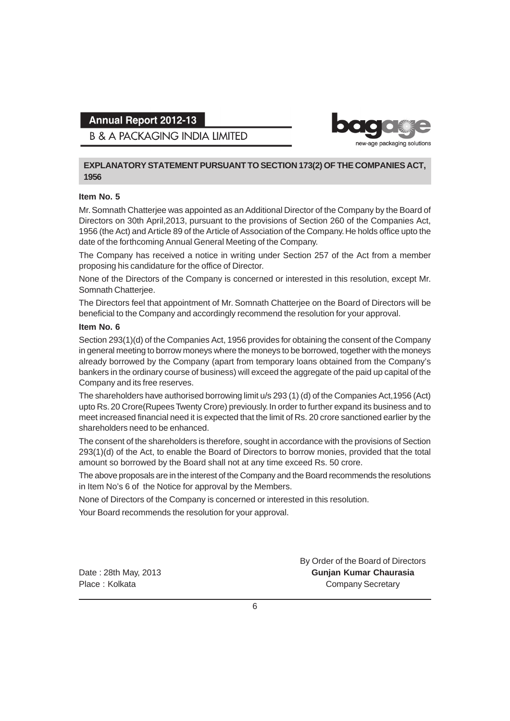new-age packaging solutions

**B & A PACKAGING INDIA LIMITED** 

#### **EXPLANATORY STATEMENT PURSUANT TO SECTION 173(2) OF THE COMPANIES ACT, 1956**

#### **Item No. 5**

Mr. Somnath Chatterjee was appointed as an Additional Director of the Company by the Board of Directors on 30th April,2013, pursuant to the provisions of Section 260 of the Companies Act, 1956 (the Act) and Article 89 of the Article of Association of the Company. He holds office upto the date of the forthcoming Annual General Meeting of the Company.

The Company has received a notice in writing under Section 257 of the Act from a member proposing his candidature for the office of Director.

None of the Directors of the Company is concerned or interested in this resolution, except Mr. Somnath Chatterjee.

The Directors feel that appointment of Mr. Somnath Chatterjee on the Board of Directors will be beneficial to the Company and accordingly recommend the resolution for your approval.

#### **Item No. 6**

Section 293(1)(d) of the Companies Act, 1956 provides for obtaining the consent of the Company in general meeting to borrow moneys where the moneys to be borrowed, together with the moneys already borrowed by the Company (apart from temporary loans obtained from the Company's bankers in the ordinary course of business) will exceed the aggregate of the paid up capital of the Company and its free reserves.

The shareholders have authorised borrowing limit u/s 293 (1) (d) of the Companies Act,1956 (Act) upto Rs. 20 Crore(Rupees Twenty Crore) previously. In order to further expand its business and to meet increased financial need it is expected that the limit of Rs. 20 crore sanctioned earlier by the shareholders need to be enhanced.

The consent of the shareholders is therefore, sought in accordance with the provisions of Section 293(1)(d) of the Act, to enable the Board of Directors to borrow monies, provided that the total amount so borrowed by the Board shall not at any time exceed Rs. 50 crore.

The above proposals are in the interest of the Company and the Board recommends the resolutions in Item No's 6 of the Notice for approval by the Members.

None of Directors of the Company is concerned or interested in this resolution.

Your Board recommends the resolution for your approval.

By Order of the Board of Directors Date : 28th May, 2013 **Gunjan Kumar Chaurasia** Place : Kolkata **Company Secretary Place : Kolkata**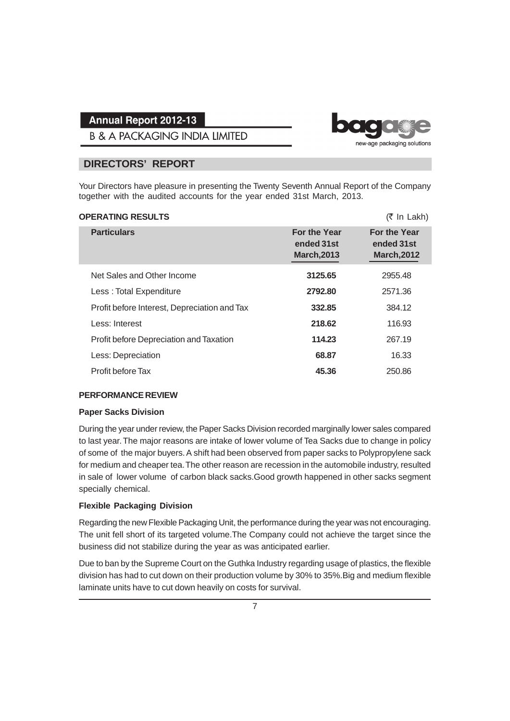**B & A PACKAGING INDIA LIMITED** 

### **DIRECTORS' REPORT**

Your Directors have pleasure in presenting the Twenty Seventh Annual Report of the Company together with the audited accounts for the year ended 31st March, 2013.

| <b>OPERATING RESULTS</b>                     |                                                         | $(5 \text{ In } \text{Lakh})$                           |
|----------------------------------------------|---------------------------------------------------------|---------------------------------------------------------|
| <b>Particulars</b>                           | <b>For the Year</b><br>ended 31st<br><b>March, 2013</b> | <b>For the Year</b><br>ended 31st<br><b>March, 2012</b> |
| Net Sales and Other Income                   | 3125.65                                                 | 2955.48                                                 |
| Less: Total Expenditure                      | 2792.80                                                 | 2571.36                                                 |
| Profit before Interest, Depreciation and Tax | 332.85                                                  | 384.12                                                  |
| Less: Interest                               | 218.62                                                  | 116.93                                                  |
| Profit before Depreciation and Taxation      | 114.23                                                  | 267.19                                                  |
| Less: Depreciation                           | 68.87                                                   | 16.33                                                   |
| Profit before Tax                            | 45.36                                                   | 250.86                                                  |

#### **PERFORMANCE REVIEW**

#### **Paper Sacks Division**

During the year under review, the Paper Sacks Division recorded marginally lower sales compared to last year. The major reasons are intake of lower volume of Tea Sacks due to change in policy of some of the major buyers. A shift had been observed from paper sacks to Polypropylene sack for medium and cheaper tea. The other reason are recession in the automobile industry, resulted in sale of lower volume of carbon black sacks.Good growth happened in other sacks segment specially chemical.

#### **Flexible Packaging Division**

Regarding the new Flexible Packaging Unit, the performance during the year was not encouraging. The unit fell short of its targeted volume.The Company could not achieve the target since the business did not stabilize during the year as was anticipated earlier.

Due to ban by the Supreme Court on the Guthka Industry regarding usage of plastics, the flexible division has had to cut down on their production volume by 30% to 35%.Big and medium flexible laminate units have to cut down heavily on costs for survival.



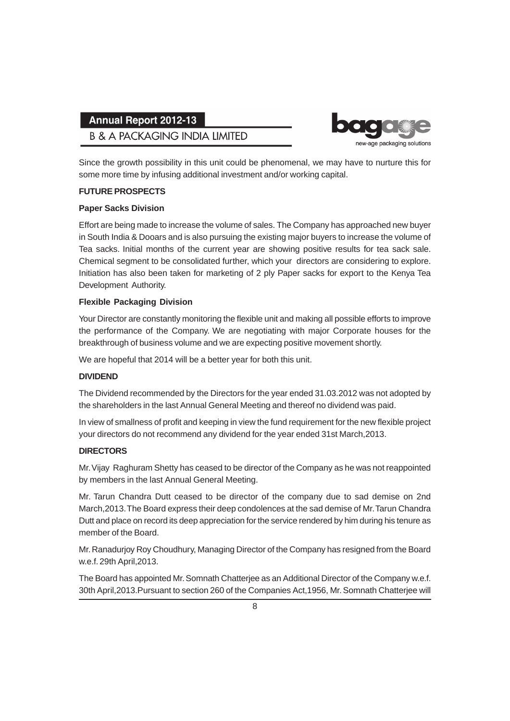## **B & A PACKAGING INDIA LIMITED**



Since the growth possibility in this unit could be phenomenal, we may have to nurture this for some more time by infusing additional investment and/or working capital.

#### **FUTURE PROSPECTS**

#### **Paper Sacks Division**

Effort are being made to increase the volume of sales. The Company has approached new buyer in South India & Dooars and is also pursuing the existing major buyers to increase the volume of Tea sacks. Initial months of the current year are showing positive results for tea sack sale. Chemical segment to be consolidated further, which your directors are considering to explore. Initiation has also been taken for marketing of 2 ply Paper sacks for export to the Kenya Tea Development Authority.

#### **Flexible Packaging Division**

Your Director are constantly monitoring the flexible unit and making all possible efforts to improve the performance of the Company. We are negotiating with major Corporate houses for the breakthrough of business volume and we are expecting positive movement shortly.

We are hopeful that 2014 will be a better year for both this unit.

#### **DIVIDEND**

The Dividend recommended by the Directors for the year ended 31.03.2012 was not adopted by the shareholders in the last Annual General Meeting and thereof no dividend was paid.

In view of smallness of profit and keeping in view the fund requirement for the new flexible project your directors do not recommend any dividend for the year ended 31st March,2013.

#### **DIRECTORS**

Mr. Vijay Raghuram Shetty has ceased to be director of the Company as he was not reappointed by members in the last Annual General Meeting.

Mr. Tarun Chandra Dutt ceased to be director of the company due to sad demise on 2nd March,2013. The Board express their deep condolences at the sad demise of Mr. Tarun Chandra Dutt and place on record its deep appreciation for the service rendered by him during his tenure as member of the Board.

Mr. Ranadurjoy Roy Choudhury, Managing Director of the Company has resigned from the Board w.e.f. 29th April,2013.

The Board has appointed Mr. Somnath Chatterjee as an Additional Director of the Company w.e.f. 30th April,2013.Pursuant to section 260 of the Companies Act,1956, Mr. Somnath Chatterjee will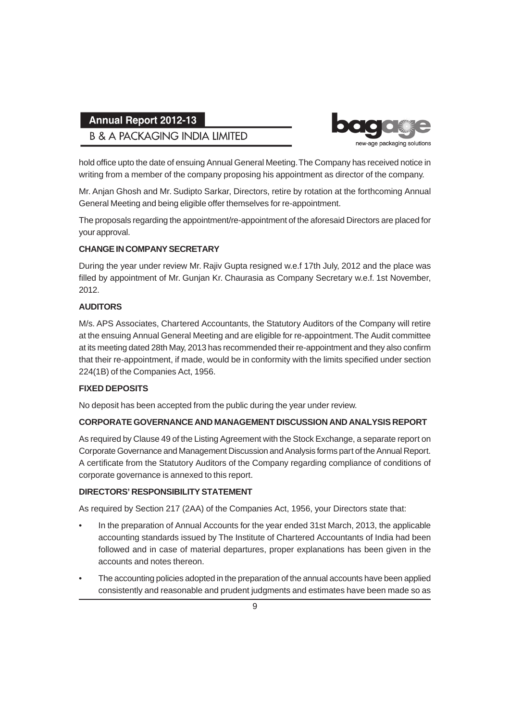## **B & A PACKAGING INDIA LIMITED**



hold office upto the date of ensuing Annual General Meeting. The Company has received notice in writing from a member of the company proposing his appointment as director of the company.

Mr. Anjan Ghosh and Mr. Sudipto Sarkar, Directors, retire by rotation at the forthcoming Annual General Meeting and being eligible offer themselves for re-appointment.

The proposals regarding the appointment/re-appointment of the aforesaid Directors are placed for your approval.

#### **CHANGE IN COMPANY SECRETARY**

During the year under review Mr. Rajiv Gupta resigned w.e.f 17th July, 2012 and the place was filled by appointment of Mr. Gunjan Kr. Chaurasia as Company Secretary w.e.f. 1st November, 2012.

### **AUDITORS**

M/s. APS Associates, Chartered Accountants, the Statutory Auditors of the Company will retire at the ensuing Annual General Meeting and are eligible for re-appointment. The Audit committee at its meeting dated 28th May, 2013 has recommended their re-appointment and they also confirm that their re-appointment, if made, would be in conformity with the limits specified under section 224(1B) of the Companies Act, 1956.

### **FIXED DEPOSITS**

No deposit has been accepted from the public during the year under review.

### **CORPORATE GOVERNANCE AND MANAGEMENT DISCUSSION AND ANALYSIS REPORT**

As required by Clause 49 of the Listing Agreement with the Stock Exchange, a separate report on Corporate Governance and Management Discussion and Analysis forms part of the Annual Report. A certificate from the Statutory Auditors of the Company regarding compliance of conditions of corporate governance is annexed to this report.

#### **DIRECTORS' RESPONSIBILITY STATEMENT**

As required by Section 217 (2AA) of the Companies Act, 1956, your Directors state that:

- In the preparation of Annual Accounts for the year ended 31st March, 2013, the applicable accounting standards issued by The Institute of Chartered Accountants of India had been followed and in case of material departures, proper explanations has been given in the accounts and notes thereon.
- The accounting policies adopted in the preparation of the annual accounts have been applied consistently and reasonable and prudent judgments and estimates have been made so as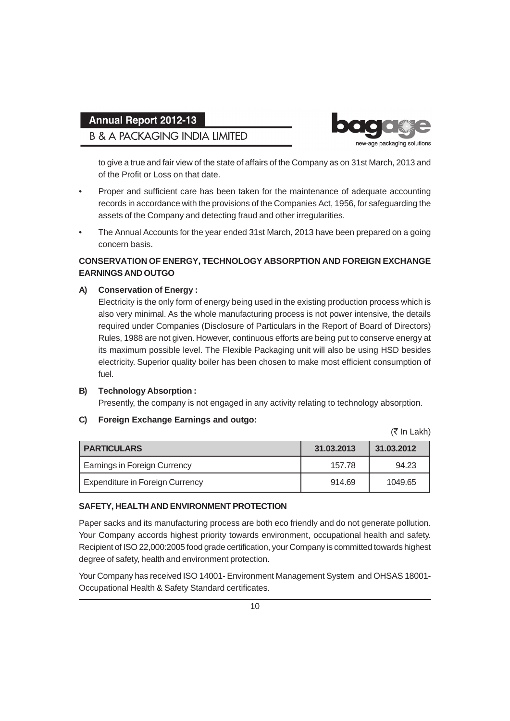## **B & A PACKAGING INDIA LIMITED**



to give a true and fair view of the state of affairs of the Company as on 31st March, 2013 and of the Profit or Loss on that date.

- Proper and sufficient care has been taken for the maintenance of adequate accounting records in accordance with the provisions of the Companies Act, 1956, for safeguarding the assets of the Company and detecting fraud and other irregularities.
- The Annual Accounts for the year ended 31st March, 2013 have been prepared on a going concern basis.

#### **CONSERVATION OF ENERGY, TECHNOLOGY ABSORPTION AND FOREIGN EXCHANGE EARNINGS AND OUTGO**

#### **A) Conservation of Energy :**

Electricity is the only form of energy being used in the existing production process which is also very minimal. As the whole manufacturing process is not power intensive, the details required under Companies (Disclosure of Particulars in the Report of Board of Directors) Rules, 1988 are not given. However, continuous efforts are being put to conserve energy at its maximum possible level. The Flexible Packaging unit will also be using HSD besides electricity. Superior quality boiler has been chosen to make most efficient consumption of fuel.

## **B) Technology Absorption :**

Presently, the company is not engaged in any activity relating to technology absorption.

#### **C) Foreign Exchange Earnings and outgo:**

(₹ In Lakh)

| <b>PARTICULARS</b>                  | 31.03.2013 | 31.03.2012 |
|-------------------------------------|------------|------------|
| <b>Earnings in Foreign Currency</b> | 157.78     | 94.23      |
| Expenditure in Foreign Currency     | 914.69     | 1049.65    |

#### **SAFETY, HEALTH AND ENVIRONMENT PROTECTION**

Paper sacks and its manufacturing process are both eco friendly and do not generate pollution. Your Company accords highest priority towards environment, occupational health and safety. Recipient of ISO 22,000:2005 food grade certification, your Company is committed towards highest degree of safety, health and environment protection.

Your Company has received ISO 14001- Environment Management System and OHSAS 18001- Occupational Health & Safety Standard certificates.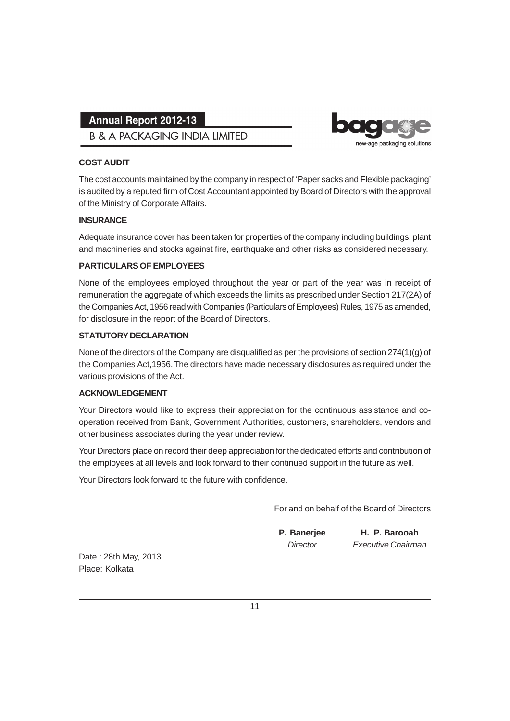**B & A PACKAGING INDIA LIMITED** 



### **COST AUDIT**

The cost accounts maintained by the company in respect of 'Paper sacks and Flexible packaging' is audited by a reputed firm of Cost Accountant appointed by Board of Directors with the approval of the Ministry of Corporate Affairs.

### **INSURANCE**

Adequate insurance cover has been taken for properties of the company including buildings, plant and machineries and stocks against fire, earthquake and other risks as considered necessary.

#### **PARTICULARS OF EMPLOYEES**

None of the employees employed throughout the year or part of the year was in receipt of remuneration the aggregate of which exceeds the limits as prescribed under Section 217(2A) of the Companies Act, 1956 read with Companies (Particulars of Employees) Rules, 1975 as amended, for disclosure in the report of the Board of Directors.

#### **STATUTORY DECLARATION**

None of the directors of the Company are disqualified as per the provisions of section 274(1)(g) of the Companies Act,1956. The directors have made necessary disclosures as required under the various provisions of the Act.

#### **ACKNOWLEDGEMENT**

Your Directors would like to express their appreciation for the continuous assistance and cooperation received from Bank, Government Authorities, customers, shareholders, vendors and other business associates during the year under review.

Your Directors place on record their deep appreciation for the dedicated efforts and contribution of the employees at all levels and look forward to their continued support in the future as well.

Your Directors look forward to the future with confidence.

For and on behalf of the Board of Directors

**P. Banerjee H. P. Barooah** *Director Executive Chairman*

Date : 28th May, 2013 Place: Kolkata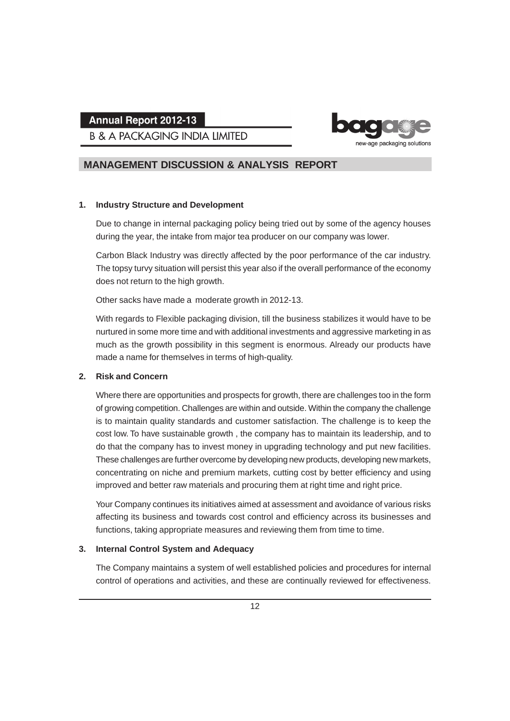**B & A PACKAGING INDIA LIMITED** 



### **MANAGEMENT DISCUSSION & ANALYSIS REPORT**

#### **1. Industry Structure and Development**

Due to change in internal packaging policy being tried out by some of the agency houses during the year, the intake from major tea producer on our company was lower.

Carbon Black Industry was directly affected by the poor performance of the car industry. The topsy turvy situation will persist this year also if the overall performance of the economy does not return to the high growth.

Other sacks have made a moderate growth in 2012-13.

With regards to Flexible packaging division, till the business stabilizes it would have to be nurtured in some more time and with additional investments and aggressive marketing in as much as the growth possibility in this segment is enormous. Already our products have made a name for themselves in terms of high-quality.

#### **2. Risk and Concern**

Where there are opportunities and prospects for growth, there are challenges too in the form of growing competition. Challenges are within and outside. Within the company the challenge is to maintain quality standards and customer satisfaction. The challenge is to keep the cost low. To have sustainable growth , the company has to maintain its leadership, and to do that the company has to invest money in upgrading technology and put new facilities. These challenges are further overcome by developing new products, developing new markets, concentrating on niche and premium markets, cutting cost by better efficiency and using improved and better raw materials and procuring them at right time and right price.

Your Company continues its initiatives aimed at assessment and avoidance of various risks affecting its business and towards cost control and efficiency across its businesses and functions, taking appropriate measures and reviewing them from time to time.

#### **3. Internal Control System and Adequacy**

The Company maintains a system of well established policies and procedures for internal control of operations and activities, and these are continually reviewed for effectiveness.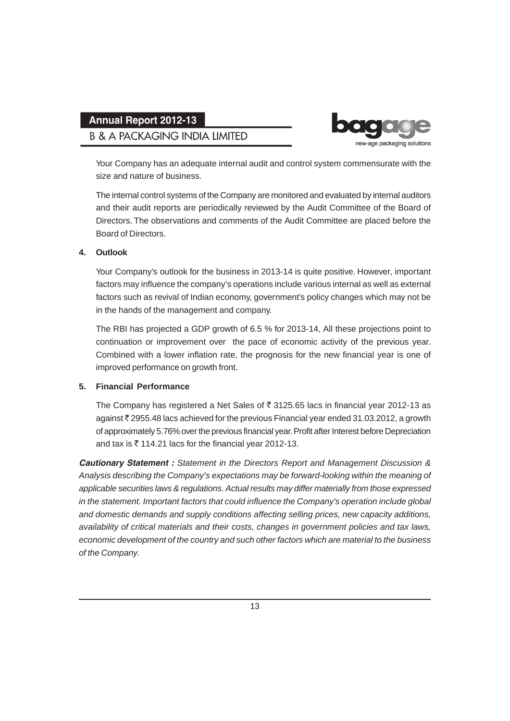## **B & A PACKAGING INDIA LIMITED**



Your Company has an adequate internal audit and control system commensurate with the size and nature of business.

The internal control systems of the Company are monitored and evaluated by internal auditors and their audit reports are periodically reviewed by the Audit Committee of the Board of Directors. The observations and comments of the Audit Committee are placed before the Board of Directors.

#### **4. Outlook**

Your Company's outlook for the business in 2013-14 is quite positive. However, important factors may influence the company's operations include various internal as well as external factors such as revival of Indian economy, government's policy changes which may not be in the hands of the management and company.

The RBI has projected a GDP growth of 6.5 % for 2013-14, All these projections point to continuation or improvement over the pace of economic activity of the previous year. Combined with a lower inflation rate, the prognosis for the new financial year is one of improved performance on growth front.

#### **5. Financial Performance**

The Company has registered a Net Sales of  $\overline{3}$  3125.65 lacs in financial year 2012-13 as against  $\bar{\tau}$  2955.48 lacs achieved for the previous Financial year ended 31.03.2012, a growth of approximately 5.76% over the previous financial year. Profit after Interest before Depreciation and tax is  $\overline{\xi}$  114.21 lacs for the financial year 2012-13.

*Cautionary Statement : Statement in the Directors Report and Management Discussion & Analysis describing the Company's expectations may be forward-looking within the meaning of applicable securities laws & regulations. Actual results may differ materially from those expressed in the statement. Important factors that could influence the Company's operation include global and domestic demands and supply conditions affecting selling prices, new capacity additions, availability of critical materials and their costs, changes in government policies and tax laws, economic development of the country and such other factors which are material to the business of the Company.*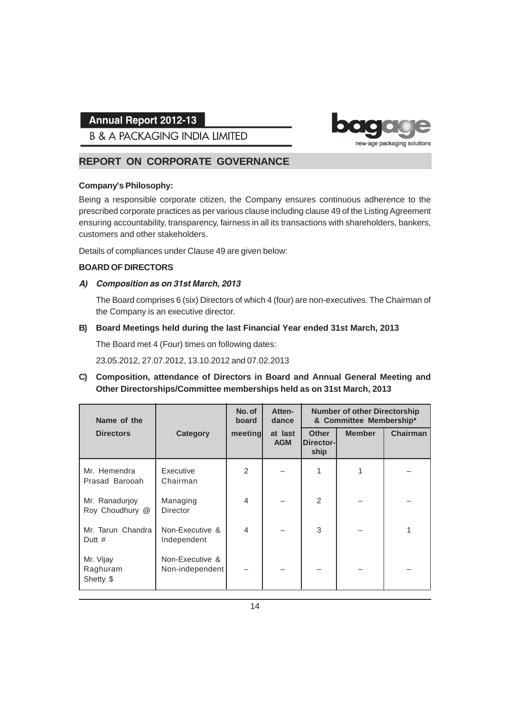**B & A PACKAGING INDIA LIMITED** 

## **REPORT ON CORPORATE GOVERNANCE**

#### **Company's Philosophy:**

Being a responsible corporate citizen, the Company ensures continuous adherence to the prescribed corporate practices as per various clause including clause 49 of the Listing Agreement ensuring accountability, transparency, fairness in all its transactions with shareholders, bankers, customers and other stakeholders.

new-age packaging solutions

Details of compliances under Clause 49 are given below:

#### **BOARD OF DIRECTORS**

#### *A) Composition as on 31st March, 2013*

The Board comprises 6 (six) Directors of which 4 (four) are non-executives. The Chairman of the Company is an executive director.

#### **B) Board Meetings held during the last Financial Year ended 31st March, 2013**

The Board met 4 (Four) times on following dates:

23.05.2012, 27.07.2012, 13.10.2012 and 07.02.2013

**C) Composition, attendance of Directors in Board and Annual General Meeting and Other Directorships/Committee memberships held as on 31st March, 2013**

| Name of the                        |                                    | No. of<br>board | Atten-<br>dance       |                                   | <b>Number of other Directorship</b><br>& Committee Membership* |                 |
|------------------------------------|------------------------------------|-----------------|-----------------------|-----------------------------------|----------------------------------------------------------------|-----------------|
| <b>Directors</b>                   | Category                           | meeting         | at last<br><b>AGM</b> | <b>Other</b><br>Director-<br>ship | <b>Member</b>                                                  | <b>Chairman</b> |
| Mr. Hemendra<br>Prasad Barooah     | Executive<br>Chairman              | $\mathfrak{p}$  |                       |                                   |                                                                |                 |
| Mr. Ranadurjoy<br>Roy Choudhury @  | Managing<br>Director               | $\overline{4}$  |                       | $\mathfrak{D}$                    |                                                                |                 |
| Mr. Tarun Chandra<br>Dutt $#$      | Non-Executive &<br>Independent     | $\overline{4}$  |                       | 3                                 |                                                                |                 |
| Mr. Vijay<br>Raghuram<br>Shetty \$ | Non-Executive &<br>Non-independent |                 |                       |                                   |                                                                |                 |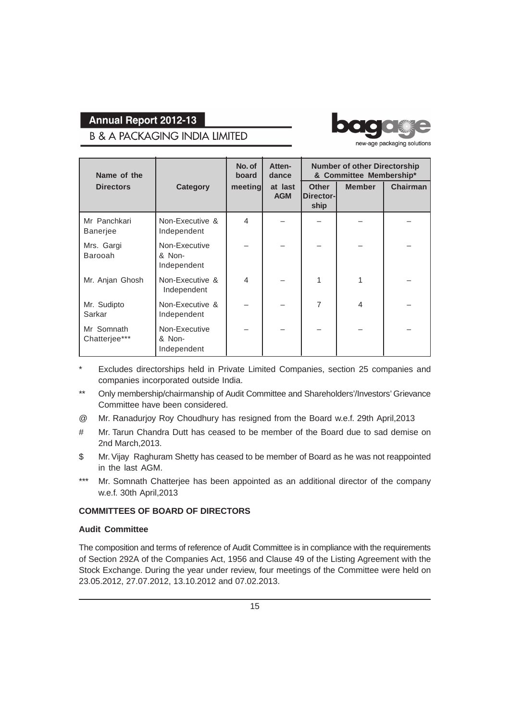## **B & A PACKAGING INDIA LIMITED**



new-age packaging solutions

| Name of the                     |                                        | No. of<br>Atten-<br>board<br>dance |                       | <b>Number of other Directorship</b><br>& Committee Membership* |                          |                 |
|---------------------------------|----------------------------------------|------------------------------------|-----------------------|----------------------------------------------------------------|--------------------------|-----------------|
| <b>Directors</b>                | <b>Category</b>                        | meeting                            | at last<br><b>AGM</b> | <b>Other</b><br>Director-<br>ship                              | <b>Member</b>            | <b>Chairman</b> |
| Mr Panchkari<br><b>Banerjee</b> | Non-Executive &<br>Independent         | $\overline{\mathcal{L}}$           |                       |                                                                |                          |                 |
| Mrs. Gargi<br>Barooah           | Non-Executive<br>& Non-<br>Independent |                                    |                       |                                                                |                          |                 |
| Mr. Anjan Ghosh                 | Non-Executive &<br>Independent         | 4                                  |                       |                                                                |                          |                 |
| Mr. Sudipto<br>Sarkar           | Non-Executive &<br>Independent         |                                    |                       | 7                                                              | $\overline{\mathcal{A}}$ |                 |
| Mr Somnath<br>Chatterjee***     | Non-Executive<br>& Non-<br>Independent |                                    |                       |                                                                |                          |                 |

- Excludes directorships held in Private Limited Companies, section 25 companies and companies incorporated outside India.
- Only membership/chairmanship of Audit Committee and Shareholders'/Investors' Grievance Committee have been considered.
- @ Mr. Ranadurjoy Roy Choudhury has resigned from the Board w.e.f. 29th April,2013
- # Mr. Tarun Chandra Dutt has ceased to be member of the Board due to sad demise on 2nd March,2013.
- \$ Mr. Vijay Raghuram Shetty has ceased to be member of Board as he was not reappointed in the last AGM.
- \*\*\* Mr. Somnath Chatterjee has been appointed as an additional director of the company w.e.f. 30th April,2013

### **COMMITTEES OF BOARD OF DIRECTORS**

#### **Audit Committee**

The composition and terms of reference of Audit Committee is in compliance with the requirements of Section 292A of the Companies Act, 1956 and Clause 49 of the Listing Agreement with the Stock Exchange. During the year under review, four meetings of the Committee were held on 23.05.2012, 27.07.2012, 13.10.2012 and 07.02.2013.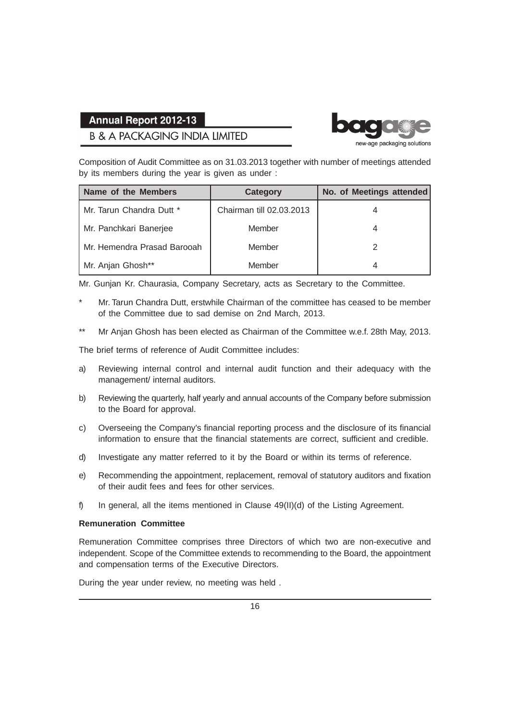## **B & A PACKAGING INDIA LIMITED**



Composition of Audit Committee as on 31.03.2013 together with number of meetings attended by its members during the year is given as under :

| Name of the Members         | <b>Category</b>          | No. of Meetings attended |
|-----------------------------|--------------------------|--------------------------|
| Mr. Tarun Chandra Dutt *    | Chairman till 02.03.2013 | 4                        |
| Mr. Panchkari Banerjee      | Member                   | 4                        |
| Mr. Hemendra Prasad Barooah | Member                   |                          |
| Mr. Anjan Ghosh**           | Member                   | 4                        |

Mr. Gunjan Kr. Chaurasia, Company Secretary, acts as Secretary to the Committee.

- Mr. Tarun Chandra Dutt, erstwhile Chairman of the committee has ceased to be member of the Committee due to sad demise on 2nd March, 2013.
- \*\* Mr Anjan Ghosh has been elected as Chairman of the Committee w.e.f. 28th May, 2013.

The brief terms of reference of Audit Committee includes:

- a) Reviewing internal control and internal audit function and their adequacy with the management/ internal auditors.
- b) Reviewing the quarterly, half yearly and annual accounts of the Company before submission to the Board for approval.
- c) Overseeing the Company's financial reporting process and the disclosure of its financial information to ensure that the financial statements are correct, sufficient and credible.
- d) Investigate any matter referred to it by the Board or within its terms of reference.
- e) Recommending the appointment, replacement, removal of statutory auditors and fixation of their audit fees and fees for other services.
- f) In general, all the items mentioned in Clause 49(II)(d) of the Listing Agreement.

#### **Remuneration Committee**

Remuneration Committee comprises three Directors of which two are non-executive and independent. Scope of the Committee extends to recommending to the Board, the appointment and compensation terms of the Executive Directors.

During the year under review, no meeting was held .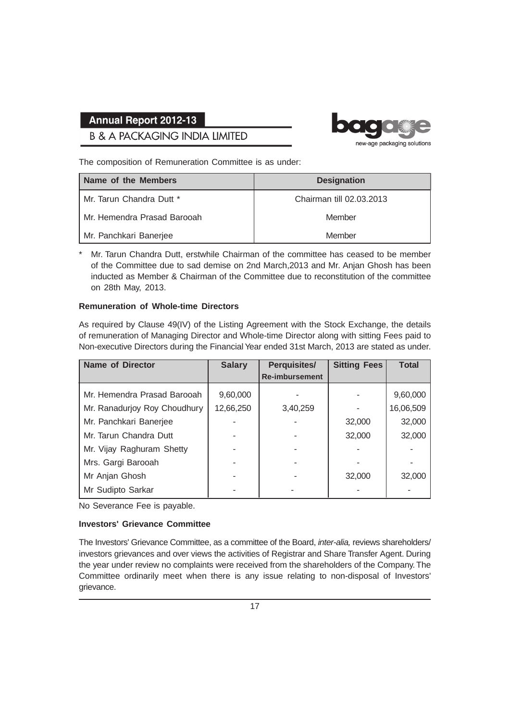## **B & A PACKAGING INDIA LIMITED**



The composition of Remuneration Committee is as under:

| <b>Name of the Members</b>     | <b>Designation</b>       |
|--------------------------------|--------------------------|
| Mr. Tarun Chandra Dutt *       | Chairman till 02.03.2013 |
| l Mr. Hemendra Prasad Barooah. | Member                   |
| Mr. Panchkari Banerjee         | Member                   |

\* Mr. Tarun Chandra Dutt, erstwhile Chairman of the committee has ceased to be member of the Committee due to sad demise on 2nd March,2013 and Mr. Anjan Ghosh has been inducted as Member & Chairman of the Committee due to reconstitution of the committee on 28th May, 2013.

#### **Remuneration of Whole-time Directors**

As required by Clause 49(IV) of the Listing Agreement with the Stock Exchange, the details of remuneration of Managing Director and Whole-time Director along with sitting Fees paid to Non-executive Directors during the Financial Year ended 31st March, 2013 are stated as under.

| <b>Name of Director</b>      | <b>Salary</b> | <b>Perquisites/</b>   | <b>Sitting Fees</b> | <b>Total</b> |
|------------------------------|---------------|-----------------------|---------------------|--------------|
|                              |               | <b>Re-imbursement</b> |                     |              |
| Mr. Hemendra Prasad Barooah  | 9,60,000      |                       |                     | 9,60,000     |
| Mr. Ranadurjoy Roy Choudhury | 12,66,250     | 3,40,259              |                     | 16,06,509    |
| Mr. Panchkari Banerjee       |               |                       | 32,000              | 32,000       |
| Mr. Tarun Chandra Dutt       |               |                       | 32,000              | 32,000       |
| Mr. Vijay Raghuram Shetty    |               |                       |                     |              |
| Mrs. Gargi Barooah           |               |                       |                     |              |
| Mr Anjan Ghosh               |               |                       | 32,000              | 32,000       |
| Mr Sudipto Sarkar            |               |                       |                     |              |

No Severance Fee is payable.

#### **Investors' Grievance Committee**

The Investors' Grievance Committee, as a committee of the Board, *inter-alia,* reviews shareholders/ investors grievances and over views the activities of Registrar and Share Transfer Agent. During the year under review no complaints were received from the shareholders of the Company. The Committee ordinarily meet when there is any issue relating to non-disposal of Investors' grievance.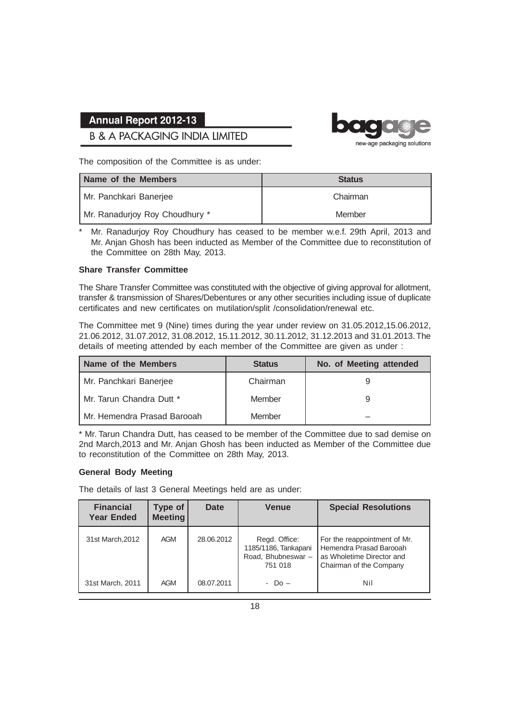## **B & A PACKAGING INDIA LIMITED**



The composition of the Committee is as under:

| Name of the Members            | <b>Status</b> |
|--------------------------------|---------------|
| Mr. Panchkari Banerjee         | Chairman      |
| Mr. Ranadurjoy Roy Choudhury * | Member        |

Mr. Ranadurjoy Roy Choudhury has ceased to be member w.e.f. 29th April, 2013 and Mr. Anjan Ghosh has been inducted as Member of the Committee due to reconstitution of the Committee on 28th May, 2013.

#### **Share Transfer Committee**

The Share Transfer Committee was constituted with the objective of giving approval for allotment, transfer & transmission of Shares/Debentures or any other securities including issue of duplicate certificates and new certificates on mutilation/split /consolidation/renewal etc.

The Committee met 9 (Nine) times during the year under review on 31.05.2012,15.06.2012, 21.06.2012, 31.07.2012, 31.08.2012, 15.11.2012, 30.11.2012, 31.12.2013 and 31.01.2013. The details of meeting attended by each member of the Committee are given as under :

| Name of the Members         | <b>Status</b> | No. of Meeting attended |
|-----------------------------|---------------|-------------------------|
| Mr. Panchkari Banerjee      | Chairman      |                         |
| Mr. Tarun Chandra Dutt *    | Member        |                         |
| Mr. Hemendra Prasad Barooah | Member        |                         |

\* Mr. Tarun Chandra Dutt, has ceased to be member of the Committee due to sad demise on 2nd March,2013 and Mr. Anjan Ghosh has been inducted as Member of the Committee due to reconstitution of the Committee on 28th May, 2013.

#### **General Body Meeting**

The details of last 3 General Meetings held are as under:

| <b>Financial</b><br><b>Year Ended</b> | <b>Type of</b><br><b>Meeting</b> | Date       | <b>Venue</b>                                                           | <b>Special Resolutions</b>                                                                                        |
|---------------------------------------|----------------------------------|------------|------------------------------------------------------------------------|-------------------------------------------------------------------------------------------------------------------|
| 31st March, 2012                      | AGM                              | 28.06.2012 | Regd. Office:<br>1185/1186, Tankapani<br>Road. Bhubneswar -<br>751 018 | For the reappointment of Mr.<br>l Hemendra Prasad Barooah<br>as Wholetime Director and<br>Chairman of the Company |
| 31st March, 2011                      | AGM                              | 08.07.2011 | - Do –                                                                 | Nil                                                                                                               |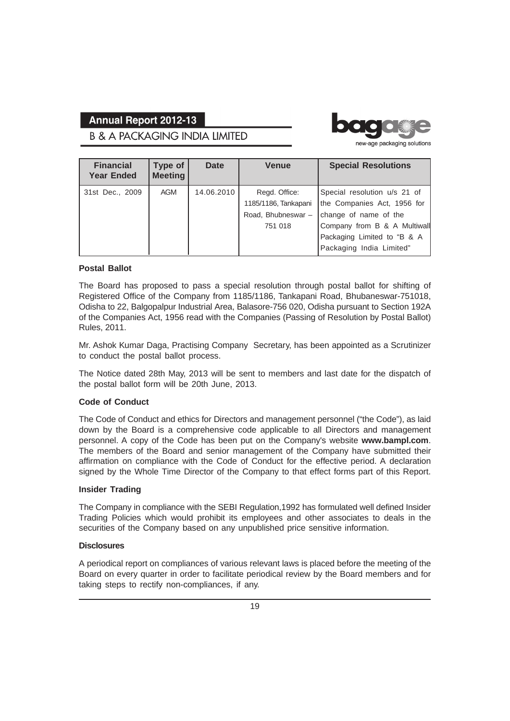**B & A PACKAGING INDIA LIMITED** 



new-age packaging solutions

| <b>Financial</b><br><b>Year Ended</b> | Type of<br><b>Meeting</b> | Date       | <b>Venue</b>         | <b>Special Resolutions</b>   |
|---------------------------------------|---------------------------|------------|----------------------|------------------------------|
| 31st Dec., 2009                       | AGM                       | 14.06.2010 | Regd. Office:        | Special resolution u/s 21 of |
|                                       |                           |            | 1185/1186, Tankapani | the Companies Act, 1956 for  |
|                                       |                           |            | Road, Bhubneswar-    | change of name of the        |
|                                       |                           |            | 751 018              | Company from B & A Multiwall |
|                                       |                           |            |                      | Packaging Limited to "B & A  |
|                                       |                           |            |                      | Packaging India Limited"     |

#### **Postal Ballot**

The Board has proposed to pass a special resolution through postal ballot for shifting of Registered Office of the Company from 1185/1186, Tankapani Road, Bhubaneswar-751018, Odisha to 22, Balgopalpur Industrial Area, Balasore-756 020, Odisha pursuant to Section 192A of the Companies Act, 1956 read with the Companies (Passing of Resolution by Postal Ballot) Rules, 2011.

Mr. Ashok Kumar Daga, Practising Company Secretary, has been appointed as a Scrutinizer to conduct the postal ballot process.

The Notice dated 28th May, 2013 will be sent to members and last date for the dispatch of the postal ballot form will be 20th June, 2013.

#### **Code of Conduct**

The Code of Conduct and ethics for Directors and management personnel ("the Code"), as laid down by the Board is a comprehensive code applicable to all Directors and management personnel. A copy of the Code has been put on the Company's website **www.bampl.com**. The members of the Board and senior management of the Company have submitted their affirmation on compliance with the Code of Conduct for the effective period. A declaration signed by the Whole Time Director of the Company to that effect forms part of this Report.

#### **Insider Trading**

The Company in compliance with the SEBI Regulation,1992 has formulated well defined Insider Trading Policies which would prohibit its employees and other associates to deals in the securities of the Company based on any unpublished price sensitive information.

#### **Disclosures**

A periodical report on compliances of various relevant laws is placed before the meeting of the Board on every quarter in order to facilitate periodical review by the Board members and for taking steps to rectify non-compliances, if any.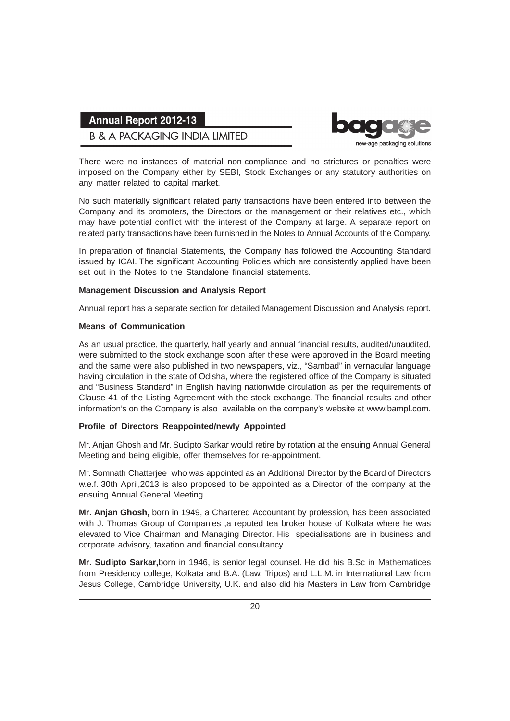## **B & A PACKAGING INDIA LIMITED**



There were no instances of material non-compliance and no strictures or penalties were imposed on the Company either by SEBI, Stock Exchanges or any statutory authorities on any matter related to capital market.

No such materially significant related party transactions have been entered into between the Company and its promoters, the Directors or the management or their relatives etc., which may have potential conflict with the interest of the Company at large. A separate report on related party transactions have been furnished in the Notes to Annual Accounts of the Company.

In preparation of financial Statements, the Company has followed the Accounting Standard issued by ICAI. The significant Accounting Policies which are consistently applied have been set out in the Notes to the Standalone financial statements.

#### **Management Discussion and Analysis Report**

Annual report has a separate section for detailed Management Discussion and Analysis report.

#### **Means of Communication**

As an usual practice, the quarterly, half yearly and annual financial results, audited/unaudited, were submitted to the stock exchange soon after these were approved in the Board meeting and the same were also published in two newspapers, viz., "Sambad" in vernacular language having circulation in the state of Odisha, where the registered office of the Company is situated and "Business Standard" in English having nationwide circulation as per the requirements of Clause 41 of the Listing Agreement with the stock exchange. The financial results and other information's on the Company is also available on the company's website at www.bampl.com.

#### **Profile of Directors Reappointed/newly Appointed**

Mr. Anjan Ghosh and Mr. Sudipto Sarkar would retire by rotation at the ensuing Annual General Meeting and being eligible, offer themselves for re-appointment.

Mr. Somnath Chatterjee who was appointed as an Additional Director by the Board of Directors w.e.f. 30th April,2013 is also proposed to be appointed as a Director of the company at the ensuing Annual General Meeting.

**Mr. Anjan Ghosh,** born in 1949, a Chartered Accountant by profession, has been associated with J. Thomas Group of Companies ,a reputed tea broker house of Kolkata where he was elevated to Vice Chairman and Managing Director. His specialisations are in business and corporate advisory, taxation and financial consultancy

**Mr. Sudipto Sarkar,**born in 1946, is senior legal counsel. He did his B.Sc in Mathematices from Presidency college, Kolkata and B.A. (Law, Tripos) and L.L.M. in International Law from Jesus College, Cambridge University, U.K. and also did his Masters in Law from Cambridge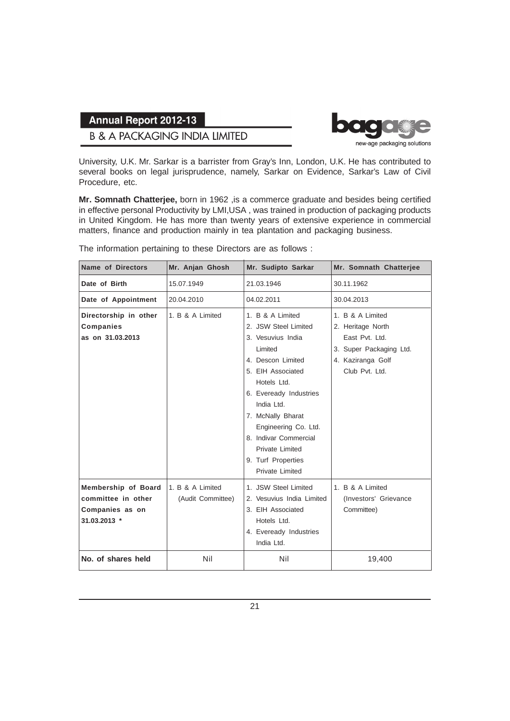### **B & A PACKAGING INDIA LIMITED**



University, U.K. Mr. Sarkar is a barrister from Gray's Inn, London, U.K. He has contributed to several books on legal jurisprudence, namely, Sarkar on Evidence, Sarkar's Law of Civil Procedure, etc.

**Mr. Somnath Chatterjee,** born in 1962 ,is a commerce graduate and besides being certified in effective personal Productivity by LMI,USA , was trained in production of packaging products in United Kingdom. He has more than twenty years of extensive experience in commercial matters, finance and production mainly in tea plantation and packaging business.

| <b>Name of Directors</b>                                                     | Mr. Anjan Ghosh                       | Mr. Sudipto Sarkar                                                                                                                                                                                                                                                                                          | Mr. Somnath Chatterjee                                                                                                    |
|------------------------------------------------------------------------------|---------------------------------------|-------------------------------------------------------------------------------------------------------------------------------------------------------------------------------------------------------------------------------------------------------------------------------------------------------------|---------------------------------------------------------------------------------------------------------------------------|
| Date of Birth                                                                | 15.07.1949                            | 21.03.1946                                                                                                                                                                                                                                                                                                  | 30.11.1962                                                                                                                |
| Date of Appointment                                                          | 20.04.2010                            | 04.02.2011                                                                                                                                                                                                                                                                                                  | 30.04.2013                                                                                                                |
| Directorship in other<br><b>Companies</b><br>as on 31.03.2013                | 1. B & A Limited                      | 1. B & A Limited<br>2. JSW Steel Limited<br>3. Vesuvius India<br>Limited<br>4. Descon Limited<br>5. EIH Associated<br>Hotels Ltd.<br>6. Eveready Industries<br>India Ltd.<br>7. McNally Bharat<br>Engineering Co. Ltd.<br>8. Indivar Commercial<br>Private Limited<br>9. Turf Properties<br>Private Limited | 1. B & A Limited<br>2. Heritage North<br>East Pvt. Ltd.<br>3. Super Packaging Ltd.<br>4. Kaziranga Golf<br>Club Pvt. Ltd. |
| Membership of Board<br>committee in other<br>Companies as on<br>31.03.2013 * | 1. B & A Limited<br>(Audit Committee) | 1. JSW Steel Limited<br>2. Vesuvius India Limited<br>3. EIH Associated<br>Hotels Ltd.<br>4. Eveready Industries<br>India Ltd.                                                                                                                                                                               | 1. B & A Limited<br>(Investors' Grievance<br>Committee)                                                                   |
| No. of shares held                                                           | Nil                                   | Nil                                                                                                                                                                                                                                                                                                         | 19,400                                                                                                                    |

The information pertaining to these Directors are as follows :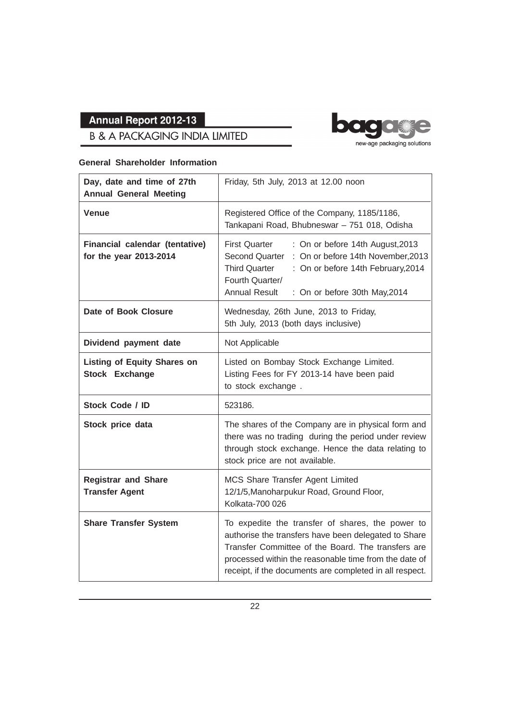## **B & A PACKAGING INDIA LIMITED**

#### **General Shareholder Information**



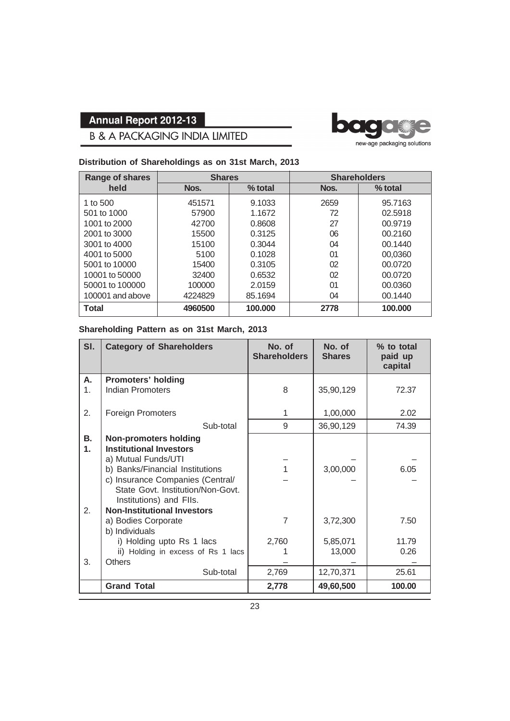

# **B & A PACKAGING INDIA LIMITED**

#### **Distribution of Shareholdings as on 31st March, 2013**

| Range of shares  |         | <b>Shares</b> |      | <b>Shareholders</b> |
|------------------|---------|---------------|------|---------------------|
| held             | Nos.    | $%$ total     | Nos. | % total             |
| 1 to 500         | 451571  | 9.1033        | 2659 | 95.7163             |
| 501 to 1000      | 57900   | 1.1672        | 72   | 02.5918             |
| 1001 to 2000     | 42700   | 0.8608        | 27   | 00.9719             |
| 2001 to 3000     | 15500   | 0.3125        | 06   | 00.2160             |
| 3001 to 4000     | 15100   | 0.3044        | 04   | 00.1440             |
| 4001 to 5000     | 5100    | 0.1028        | 01   | 00,0360             |
| 5001 to 10000    | 15400   | 0.3105        | 02   | 00.0720             |
| 10001 to 50000   | 32400   | 0.6532        | 02   | 00.0720             |
| 50001 to 100000  | 100000  | 2.0159        | 01   | 00.0360             |
| 100001 and above | 4224829 | 85.1694       | 04   | 00.1440             |
| <b>Total</b>     | 4960500 | 100.000       | 2778 | 100.000             |

#### **Shareholding Pattern as on 31st March, 2013**

| SI. | <b>Category of Shareholders</b>    | No. of<br><b>Shareholders</b> | No. of<br><b>Shares</b> | % to total<br>paid up<br>capital |
|-----|------------------------------------|-------------------------------|-------------------------|----------------------------------|
| А.  | <b>Promoters' holding</b>          |                               |                         |                                  |
| 1.  | <b>Indian Promoters</b>            | 8                             | 35,90,129               | 72.37                            |
|     |                                    |                               |                         |                                  |
| 2.  | <b>Foreign Promoters</b>           | 1                             | 1,00,000                | 2.02                             |
|     | Sub-total                          | 9                             | 36,90,129               | 74.39                            |
| В.  | <b>Non-promoters holding</b>       |                               |                         |                                  |
| 1.  | <b>Institutional Investors</b>     |                               |                         |                                  |
|     | a) Mutual Funds/UTI                |                               |                         |                                  |
|     | b) Banks/Financial Institutions    |                               | 3,00,000                | 6.05                             |
|     | c) Insurance Companies (Central/   |                               |                         |                                  |
|     | State Govt. Institution/Non-Govt.  |                               |                         |                                  |
|     | Institutions) and FIIs.            |                               |                         |                                  |
| 2.  | <b>Non-Institutional Investors</b> |                               |                         |                                  |
|     | a) Bodies Corporate                | $\overline{7}$                | 3,72,300                | 7.50                             |
|     | b) Individuals                     |                               |                         |                                  |
|     | i) Holding upto Rs 1 lacs          | 2,760                         | 5,85,071                | 11.79                            |
|     | ii) Holding in excess of Rs 1 lacs |                               | 13,000                  | 0.26                             |
| 3.  | <b>Others</b>                      |                               |                         |                                  |
|     | Sub-total                          | 2,769                         | 12,70,371               | 25.61                            |
|     | <b>Grand Total</b>                 | 2,778                         | 49,60,500               | 100.00                           |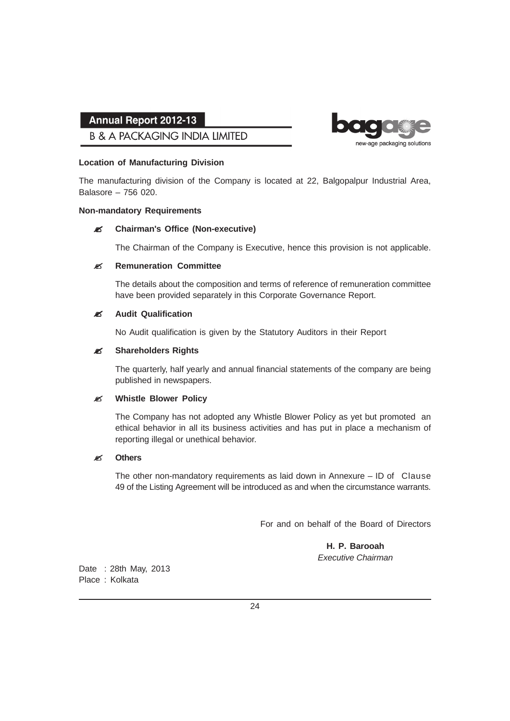### **B & A PACKAGING INDIA LIMITED**



#### **Location of Manufacturing Division**

The manufacturing division of the Company is located at 22, Balgopalpur Industrial Area, Balasore – 756 020.

#### **Non-mandatory Requirements**

#### " **Chairman's Office (Non-executive)**

The Chairman of the Company is Executive, hence this provision is not applicable.

#### **ES** Remuneration Committee

The details about the composition and terms of reference of remuneration committee have been provided separately in this Corporate Governance Report.

#### " **Audit Qualification**

No Audit qualification is given by the Statutory Auditors in their Report

#### **ES** Shareholders Rights

The quarterly, half yearly and annual financial statements of the company are being published in newspapers.

#### **EX Whistle Blower Policy**

The Company has not adopted any Whistle Blower Policy as yet but promoted an ethical behavior in all its business activities and has put in place a mechanism of reporting illegal or unethical behavior.

#### **EX** Others

The other non-mandatory requirements as laid down in Annexure – ID of Clause 49 of the Listing Agreement will be introduced as and when the circumstance warrants.

For and on behalf of the Board of Directors

**H. P. Barooah** *Executive Chairman*

Date : 28th May, 2013 Place : Kolkata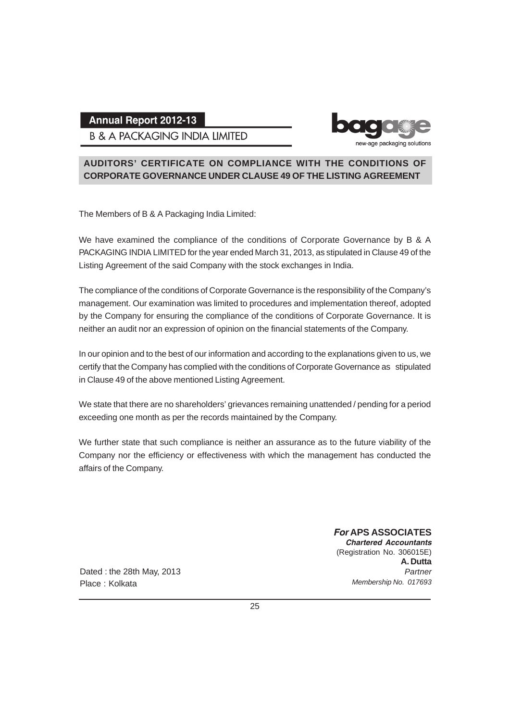**B & A PACKAGING INDIA LIMITED** 



### **AUDITORS' CERTIFICATE ON COMPLIANCE WITH THE CONDITIONS OF CORPORATE GOVERNANCE UNDER CLAUSE 49 OF THE LISTING AGREEMENT**

The Members of B & A Packaging India Limited:

We have examined the compliance of the conditions of Corporate Governance by B & A PACKAGING INDIA LIMITED for the year ended March 31, 2013, as stipulated in Clause 49 of the Listing Agreement of the said Company with the stock exchanges in India.

The compliance of the conditions of Corporate Governance is the responsibility of the Company's management. Our examination was limited to procedures and implementation thereof, adopted by the Company for ensuring the compliance of the conditions of Corporate Governance. It is neither an audit nor an expression of opinion on the financial statements of the Company.

In our opinion and to the best of our information and according to the explanations given to us, we certify that the Company has complied with the conditions of Corporate Governance as stipulated in Clause 49 of the above mentioned Listing Agreement.

We state that there are no shareholders' grievances remaining unattended / pending for a period exceeding one month as per the records maintained by the Company.

We further state that such compliance is neither an assurance as to the future viability of the Company nor the efficiency or effectiveness with which the management has conducted the affairs of the Company.

> *For* **APS ASSOCIATES** *Chartered Accountants* (Registration No. 306015E) **A. Dutta** *Partner Membership No. 017693*

Dated : the 28th May, 2013 Place : Kolkata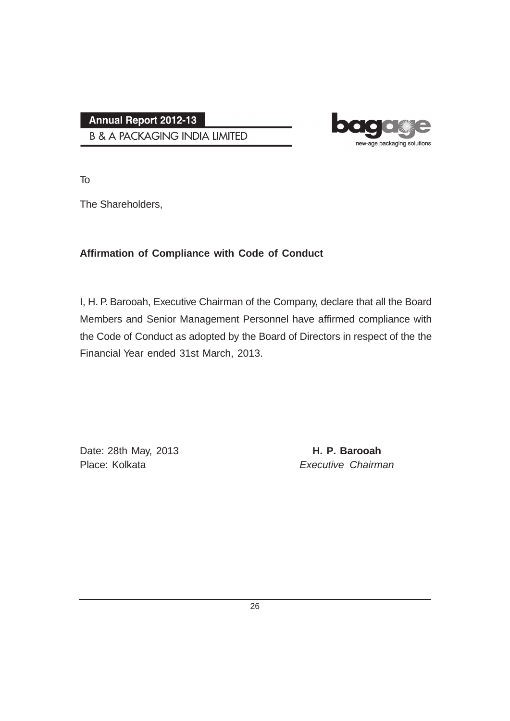**B & A PACKAGING INDIA LIMITED** 



To

The Shareholders,

## **Affirmation of Compliance with Code of Conduct**

I, H. P. Barooah, Executive Chairman of the Company, declare that all the Board Members and Senior Management Personnel have affirmed compliance with the Code of Conduct as adopted by the Board of Directors in respect of the the Financial Year ended 31st March, 2013.

Date: 28th May, 2013 **H. P. Barooah** Place: Kolkata *Executive Chairman*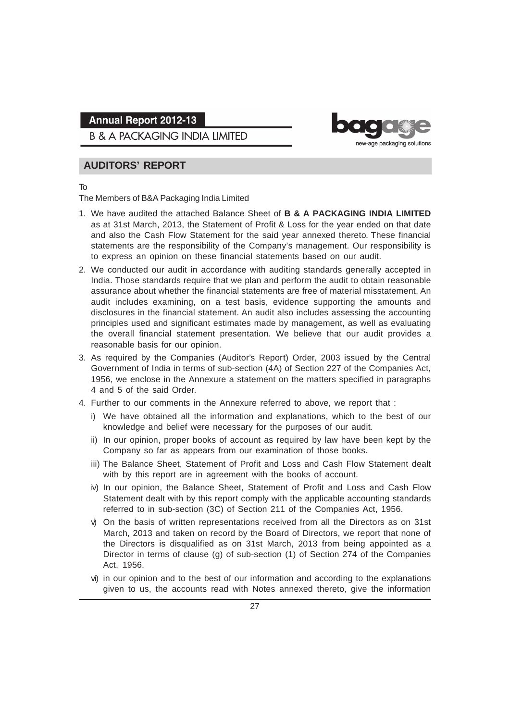**B & A PACKAGING INDIA LIMITED** 



## **AUDITORS' REPORT**

#### To

The Members of B&A Packaging India Limited

- 1. We have audited the attached Balance Sheet of **B & A PACKAGING INDIA LIMITED** as at 31st March, 2013, the Statement of Profit & Loss for the year ended on that date and also the Cash Flow Statement for the said year annexed thereto. These financial statements are the responsibility of the Company's management. Our responsibility is to express an opinion on these financial statements based on our audit.
- 2. We conducted our audit in accordance with auditing standards generally accepted in India. Those standards require that we plan and perform the audit to obtain reasonable assurance about whether the financial statements are free of material misstatement. An audit includes examining, on a test basis, evidence supporting the amounts and disclosures in the financial statement. An audit also includes assessing the accounting principles used and significant estimates made by management, as well as evaluating the overall financial statement presentation. We believe that our audit provides a reasonable basis for our opinion.
- 3. As required by the Companies (Auditor's Report) Order, 2003 issued by the Central Government of India in terms of sub-section (4A) of Section 227 of the Companies Act, 1956, we enclose in the Annexure a statement on the matters specified in paragraphs 4 and 5 of the said Order.
- 4. Further to our comments in the Annexure referred to above, we report that :
	- i) We have obtained all the information and explanations, which to the best of our knowledge and belief were necessary for the purposes of our audit.
	- ii) In our opinion, proper books of account as required by law have been kept by the Company so far as appears from our examination of those books.
	- iii) The Balance Sheet, Statement of Profit and Loss and Cash Flow Statement dealt with by this report are in agreement with the books of account.
	- iv) In our opinion, the Balance Sheet, Statement of Profit and Loss and Cash Flow Statement dealt with by this report comply with the applicable accounting standards referred to in sub-section (3C) of Section 211 of the Companies Act, 1956.
	- v) On the basis of written representations received from all the Directors as on 31st March, 2013 and taken on record by the Board of Directors, we report that none of the Directors is disqualified as on 31st March, 2013 from being appointed as a Director in terms of clause (g) of sub-section (1) of Section 274 of the Companies Act, 1956.
	- vi) in our opinion and to the best of our information and according to the explanations given to us, the accounts read with Notes annexed thereto, give the information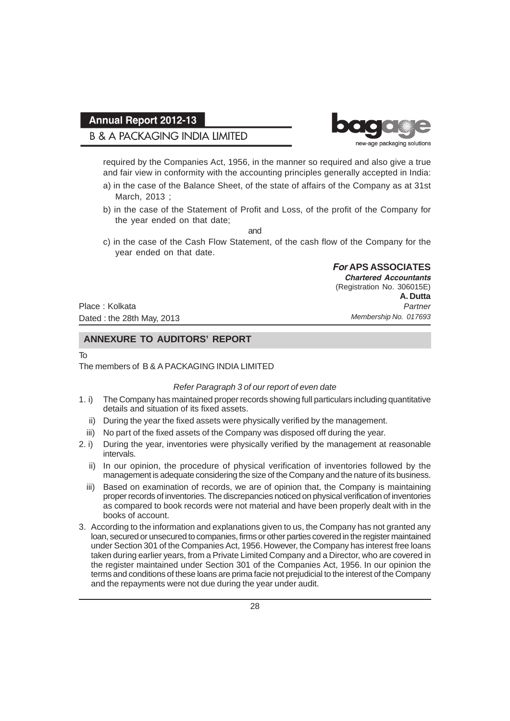## **B & A PACKAGING INDIA LIMITED**



required by the Companies Act, 1956, in the manner so required and also give a true and fair view in conformity with the accounting principles generally accepted in India:

- a) in the case of the Balance Sheet, of the state of affairs of the Company as at 31st March, 2013 ;
- b) in the case of the Statement of Profit and Loss, of the profit of the Company for the year ended on that date;

and

c) in the case of the Cash Flow Statement, of the cash flow of the Company for the year ended on that date.

> *For* **APS ASSOCIATES** *Chartered Accountants* (Registration No. 306015E) **A. Dutta** *Partner Membership No. 017693*

Place : Kolkata Dated : the 28th May, 2013

#### **ANNEXURE TO AUDITORS' REPORT**

#### To

#### The members of B & A PACKAGING INDIA LIMITED

#### *Refer Paragraph 3 of our report of even date*

- 1. i) The Company has maintained proper records showing full particulars including quantitative details and situation of its fixed assets.
	- ii) During the year the fixed assets were physically verified by the management.
	- iii) No part of the fixed assets of the Company was disposed off during the year.
- 2. i) During the year, inventories were physically verified by the management at reasonable intervals.
	- ii) In our opinion, the procedure of physical verification of inventories followed by the management is adequate considering the size of the Company and the nature of its business.
	- iii) Based on examination of records, we are of opinion that, the Company is maintaining proper records of inventories. The discrepancies noticed on physical verification of inventories as compared to book records were not material and have been properly dealt with in the books of account.
- 3. According to the information and explanations given to us, the Company has not granted any loan, secured or unsecured to companies, firms or other parties covered in the register maintained under Section 301 of the Companies Act, 1956. However, the Company has interest free loans taken during earlier years, from a Private Limited Company and a Director, who are covered in the register maintained under Section 301 of the Companies Act, 1956. In our opinion the terms and conditions of these loans are prima facie not prejudicial to the interest of the Company and the repayments were not due during the year under audit.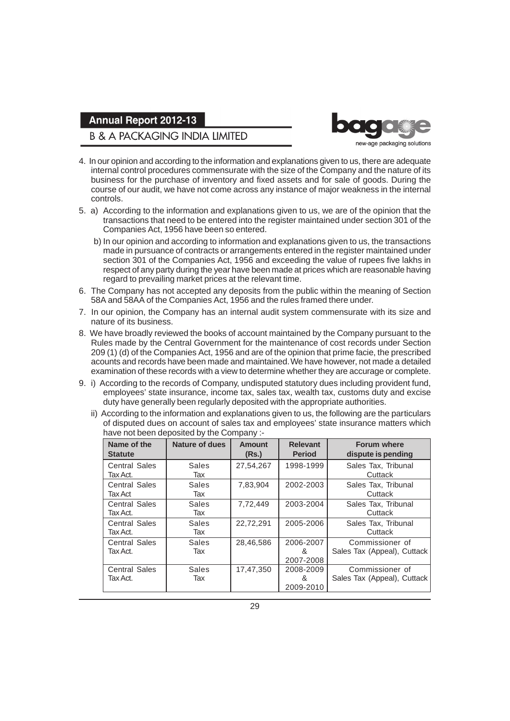### **B & A PACKAGING INDIA LIMITED**



- 4. In our opinion and according to the information and explanations given to us, there are adequate internal control procedures commensurate with the size of the Company and the nature of its business for the purchase of inventory and fixed assets and for sale of goods. During the course of our audit, we have not come across any instance of major weakness in the internal controls.
- 5. a) According to the information and explanations given to us, we are of the opinion that the transactions that need to be entered into the register maintained under section 301 of the Companies Act, 1956 have been so entered.
	- b) In our opinion and according to information and explanations given to us, the transactions made in pursuance of contracts or arrangements entered in the register maintained under section 301 of the Companies Act, 1956 and exceeding the value of rupees five lakhs in respect of any party during the year have been made at prices which are reasonable having regard to prevailing market prices at the relevant time.
- 6. The Company has not accepted any deposits from the public within the meaning of Section 58A and 58AA of the Companies Act, 1956 and the rules framed there under.
- 7. In our opinion, the Company has an internal audit system commensurate with its size and nature of its business.
- 8. We have broadly reviewed the books of account maintained by the Company pursuant to the Rules made by the Central Government for the maintenance of cost records under Section 209 (1) (d) of the Companies Act, 1956 and are of the opinion that prime facie, the prescribed acounts and records have been made and maintained. We have however, not made a detailed examination of these records with a view to determine whether they are accurage or complete.
- 9. i) According to the records of Company, undisputed statutory dues including provident fund, employees' state insurance, income tax, sales tax, wealth tax, customs duty and excise duty have generally been regularly deposited with the appropriate authorities.
	- ii) According to the information and explanations given to us, the following are the particulars of disputed dues on account of sales tax and employees' state insurance matters which have not been deposited by the Company :-

| Name of the<br><b>Statute</b>    | Nature of dues      | Amount<br>(Rs.) | <b>Relevant</b><br><b>Period</b> | <b>Forum where</b><br>dispute is pending       |
|----------------------------------|---------------------|-----------------|----------------------------------|------------------------------------------------|
| <b>Central Sales</b><br>Tax Act. | <b>Sales</b><br>Tax | 27,54,267       | 1998-1999                        | Sales Tax, Tribunal<br>Cuttack                 |
| <b>Central Sales</b><br>Tax Act  | <b>Sales</b><br>Tax | 7,83,904        | 2002-2003                        | Sales Tax, Tribunal<br>Cuttack                 |
| <b>Central Sales</b><br>Tax Act. | <b>Sales</b><br>Tax | 7,72,449        | 2003-2004                        | Sales Tax, Tribunal<br>Cuttack                 |
| <b>Central Sales</b><br>Tax Act. | Sales<br>Tax        | 22,72,291       | 2005-2006                        | Sales Tax, Tribunal<br>Cuttack                 |
| <b>Central Sales</b><br>Tax Act. | Sales<br>Tax        | 28,46,586       | 2006-2007<br>&<br>2007-2008      | Commissioner of<br>Sales Tax (Appeal), Cuttack |
| <b>Central Sales</b><br>Tax Act. | Sales<br>Tax        | 17,47,350       | 2008-2009<br>&<br>2009-2010      | Commissioner of<br>Sales Tax (Appeal), Cuttack |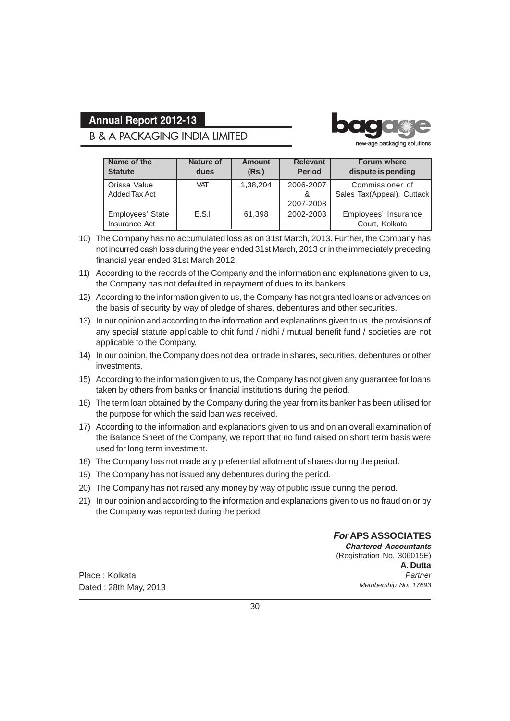## **B & A PACKAGING INDIA LIMITED**



new-age packaging solutions

| Name of the<br><b>Statute</b>     | <b>Nature of</b><br>dues | <b>Amount</b><br>(Rs.) | <b>Relevant</b><br><b>Period</b> | <b>Forum where</b><br>dispute is pending      |
|-----------------------------------|--------------------------|------------------------|----------------------------------|-----------------------------------------------|
| Orissa Value<br>Added Tax Act     | <b>VAT</b>               | 1,38,204               | 2006-2007<br>&                   | Commissioner of<br>Sales Tax(Appeal), Cuttack |
|                                   |                          |                        | 2007-2008                        |                                               |
| Employees' State<br>Insurance Act | E.S.I                    | 61.398                 | 2002-2003                        | Employees' Insurance<br>Court, Kolkata        |

- 10) The Company has no accumulated loss as on 31st March, 2013. Further, the Company has not incurred cash loss during the year ended 31st March, 2013 or in the immediately preceding financial year ended 31st March 2012.
- 11) According to the records of the Company and the information and explanations given to us, the Company has not defaulted in repayment of dues to its bankers.
- 12) According to the information given to us, the Company has not granted loans or advances on the basis of security by way of pledge of shares, debentures and other securities.
- 13) In our opinion and according to the information and explanations given to us, the provisions of any special statute applicable to chit fund / nidhi / mutual benefit fund / societies are not applicable to the Company.
- 14) In our opinion, the Company does not deal or trade in shares, securities, debentures or other investments.
- 15) According to the information given to us, the Company has not given any guarantee for loans taken by others from banks or financial institutions during the period.
- 16) The term loan obtained by the Company during the year from its banker has been utilised for the purpose for which the said loan was received.
- 17) According to the information and explanations given to us and on an overall examination of the Balance Sheet of the Company, we report that no fund raised on short term basis were used for long term investment.
- 18) The Company has not made any preferential allotment of shares during the period.
- 19) The Company has not issued any debentures during the period.
- 20) The Company has not raised any money by way of public issue during the period.
- 21) In our opinion and according to the information and explanations given to us no fraud on or by the Company was reported during the period.

Place : Kolkata Dated : 28th May, 2013 *For* **APS ASSOCIATES** *Chartered Accountants* (Registration No. 306015E) **A. Dutta** *Partner Membership No. 17693*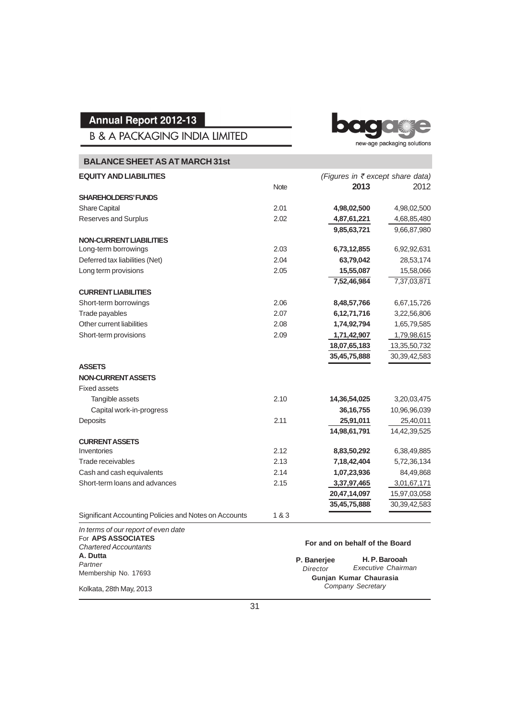**B & A PACKAGING INDIA LIMITED** 

ba new-age packaging solutions

| <b>BALANCE SHEET AS AT MARCH 31st</b>                 |             |                                  |                 |
|-------------------------------------------------------|-------------|----------------------------------|-----------------|
| <b>EQUITY AND LIABILITIES</b>                         |             | (Figures in ₹ except share data) |                 |
|                                                       | <b>Note</b> | 2013                             | 2012            |
| <b>SHAREHOLDERS' FUNDS</b>                            |             |                                  |                 |
| Share Capital                                         | 2.01        | 4,98,02,500                      | 4,98,02,500     |
| Reserves and Surplus                                  | 2.02        | 4,87,61,221                      | 4,68,85,480     |
|                                                       |             | 9,85,63,721                      | 9,66,87,980     |
| <b>NON-CURRENT LIABILITIES</b>                        |             |                                  |                 |
| Long-term borrowings                                  | 2.03        | 6,73,12,855                      | 6,92,92,631     |
| Deferred tax liabilities (Net)                        | 2.04        | 63,79,042                        | 28,53,174       |
| Long term provisions                                  | 2.05        | 15,55,087                        | 15,58,066       |
|                                                       |             | 7,52,46,984                      | 7,37,03,871     |
| <b>CURRENT LIABILITIES</b>                            |             |                                  |                 |
| Short-term borrowings                                 | 2.06        | 8,48,57,766                      | 6,67,15,726     |
| Trade payables                                        | 2.07        | 6,12,71,716                      | 3,22,56,806     |
| Other current liabilities                             | 2.08        | 1,74,92,794                      | 1,65,79,585     |
| Short-term provisions                                 | 2.09        | 1,71,42,907                      | 1,79,98,615     |
|                                                       |             | 18,07,65,183                     | 13,35,50,732    |
|                                                       |             | 35,45,75,888                     | 30, 39, 42, 583 |
| <b>ASSETS</b>                                         |             |                                  |                 |
| <b>NON-CURRENT ASSETS</b>                             |             |                                  |                 |
| <b>Fixed assets</b>                                   |             |                                  |                 |
| Tangible assets                                       | 2.10        | 14,36,54,025                     | 3,20,03,475     |
| Capital work-in-progress                              |             | 36, 16, 755                      | 10,96,96,039    |
| Deposits                                              | 2.11        | 25,91,011                        | 25,40,011       |
|                                                       |             | 14,98,61,791                     | 14,42,39,525    |
| <b>CURRENT ASSETS</b>                                 |             |                                  |                 |
| Inventories                                           | 2.12        | 8,83,50,292                      | 6,38,49,885     |
| Trade receivables                                     | 2.13        | 7,18,42,404                      | 5,72,36,134     |
| Cash and cash equivalents                             | 2.14        | 1,07,23,936                      | 84,49,868       |
| Short-term loans and advances                         | 2.15        | 3,37,97,465                      | 3,01,67,171     |
|                                                       |             | 20,47,14,097                     | 15,97,03,058    |
|                                                       |             | 35,45,75,888                     | 30, 39, 42, 583 |
| Significant Accounting Policies and Notes on Accounts | 1&3         |                                  |                 |

*In terms of our report of even date* For **APS ASSOCIATES** *Chartered Accountants* **A. Dutta** *Partner* Membership No. 17693

Kolkata, 28th May, 2013

#### **For and on behalf of the Board**

**H. P. Barooah** *Executive Chairman* **Gunjan Kumar Chaurasia** *Company Secretary* **P. Banerjee** *Director*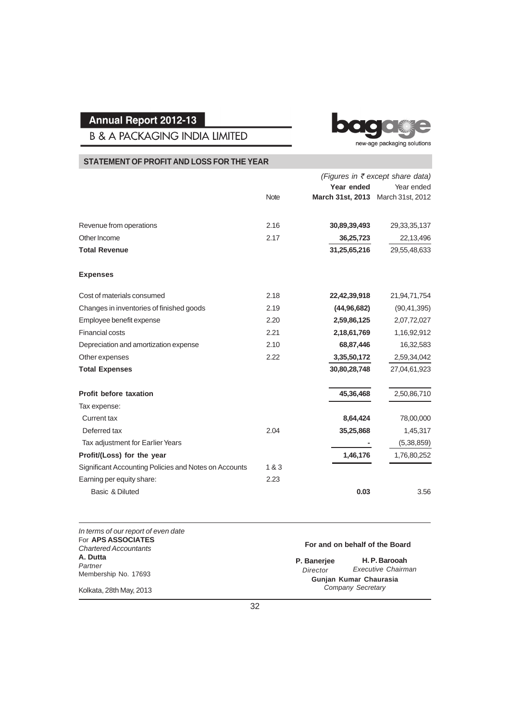**B & A PACKAGING INDIA LIMITED** 

bage new-age packaging solutions

### **STATEMENT OF PROFIT AND LOSS FOR THE YEAR**

|                                                       |             |                  | (Figures in ₹ except share data) |
|-------------------------------------------------------|-------------|------------------|----------------------------------|
|                                                       |             | Year ended       | Year ended                       |
|                                                       | <b>Note</b> | March 31st, 2013 | March 31st, 2012                 |
| Revenue from operations                               | 2.16        | 30,89,39,493     | 29, 33, 35, 137                  |
| Other Income                                          | 2.17        | 36,25,723        | 22,13,496                        |
| <b>Total Revenue</b>                                  |             | 31,25,65,216     | 29,55,48,633                     |
| <b>Expenses</b>                                       |             |                  |                                  |
| Cost of materials consumed                            | 2.18        | 22,42,39,918     | 21,94,71,754                     |
| Changes in inventories of finished goods              | 2.19        | (44, 96, 682)    | (90, 41, 395)                    |
| Employee benefit expense                              | 2.20        | 2,59,86,125      | 2,07,72,027                      |
| <b>Financial costs</b>                                | 2.21        | 2,18,61,769      | 1,16,92,912                      |
| Depreciation and amortization expense                 | 2.10        | 68,87,446        | 16,32,583                        |
| Other expenses                                        | 2.22        | 3,35,50,172      | 2,59,34,042                      |
| <b>Total Expenses</b>                                 |             | 30,80,28,748     | 27,04,61,923                     |
| Profit before taxation                                |             | 45,36,468        | 2,50,86,710                      |
| Tax expense:                                          |             |                  |                                  |
| <b>Current tax</b>                                    |             | 8,64,424         | 78,00,000                        |
| Deferred tax                                          | 2.04        | 35,25,868        | 1,45,317                         |
| Tax adjustment for Earlier Years                      |             |                  | (5, 38, 859)                     |
| Profit/(Loss) for the year                            |             | 1,46,176         | 1,76,80,252                      |
| Significant Accounting Policies and Notes on Accounts | 1&3         |                  |                                  |
| Earning per equity share:                             | 2.23        |                  |                                  |
| Basic & Diluted                                       |             | 0.03             | 3.56                             |

| In terms of our report of even date<br>For APS ASSOCIATES<br><b>Chartered Accountants</b> |                         | For and on behalf of the Board              |  |
|-------------------------------------------------------------------------------------------|-------------------------|---------------------------------------------|--|
| A. Dutta<br>Partner                                                                       | P. Banerjee<br>Director | H. P. Barooah<br>Executive Chairman         |  |
| Membership No. 17693<br>Kolkata, 28th May, 2013                                           |                         | Gunjan Kumar Chaurasia<br>Company Secretary |  |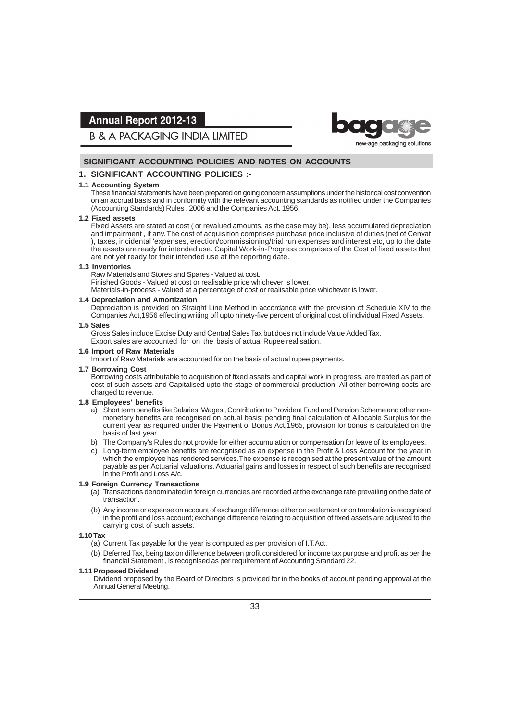

**B & A PACKAGING INDIA LIMITED** 

#### **SIGNIFICANT ACCOUNTING POLICIES AND NOTES ON ACCOUNTS**

#### **1. SIGNIFICANT ACCOUNTING POLICIES :-**

#### **1.1 Accounting System**

These financial statements have been prepared on going concern assumptions under the historical cost convention on an accrual basis and in conformity with the relevant accounting standards as notified under the Companies (Accounting Standards) Rules , 2006 and the Companies Act, 1956.

#### **1.2 Fixed assets**

Fixed Assets are stated at cost ( or revalued amounts, as the case may be), less accumulated depreciation and impairment , if any. The cost of acquisition comprises purchase price inclusive of duties (net of Cenvat ), taxes, incidental 'expenses, erection/commissioning/trial run expenses and interest etc, up to the date the assets are ready for intended use. Capital Work-in-Progress comprises of the Cost of fixed assets that are not yet ready for their intended use at the reporting date.

#### **1.3 Inventories**

Raw Materials and Stores and Spares - Valued at cost.

Finished Goods - Valued at cost or realisable price whichever is lower.

Materials-in-process - Valued at a percentage of cost or realisable price whichever is lower.

#### **1.4 Depreciation and Amortization**

Depreciation is provided on Straight Line Method in accordance with the provision of Schedule XIV to the Companies Act,1956 effecting writing off upto ninety-five percent of original cost of individual Fixed Assets.

#### **1.5 Sales**

Gross Sales include Excise Duty and Central Sales Tax but does not include Value Added Tax. Export sales are accounted for on the basis of actual Rupee realisation.

#### **1.6 Import of Raw Materials**

Import of Raw Materials are accounted for on the basis of actual rupee payments.

#### **1.7 Borrowing Cost**

Borrowing costs attributable to acquisition of fixed assets and capital work in progress, are treated as part of cost of such assets and Capitalised upto the stage of commercial production. All other borrowing costs are charged to revenue.

#### **1.8 Employees' benefits**

- a) Short term benefits like Salaries, Wages , Contribution to Provident Fund and Pension Scheme and other nonmonetary benefits are recognised on actual basis; pending final calculation of Allocable Surplus for the current year as required under the Payment of Bonus Act,1965, provision for bonus is calculated on the basis of last year.
- b) The Company's Rules do not provide for either accumulation or compensation for leave of its employees.
- c) Long-term employee benefits are recognised as an expense in the Profit & Loss Account for the year in which the employee has rendered services.The expense is recognised at the present value of the amount payable as per Actuarial valuations. Actuarial gains and losses in respect of such benefits are recognised in the Profit and Loss A/c.

#### **1.9 Foreign Currency Transactions**

- (a) Transactions denominated in foreign currencies are recorded at the exchange rate prevailing on the date of transaction.
- (b) Any income or expense on account of exchange difference either on settlement or on translation is recognised in the profit and loss account; exchange difference relating to acquisition of fixed assets are adjusted to the carrying cost of such assets.

#### **1.10 Tax**

- (a) Current Tax payable for the year is computed as per provision of I.T.Act.
- (b) Deferred Tax, being tax on difference between profit considered for income tax purpose and profit as per the financial Statement , is recognised as per requirement of Accounting Standard 22.

#### **1.11Proposed Dividend**

Dividend proposed by the Board of Directors is provided for in the books of account pending approval at the Annual General Meeting.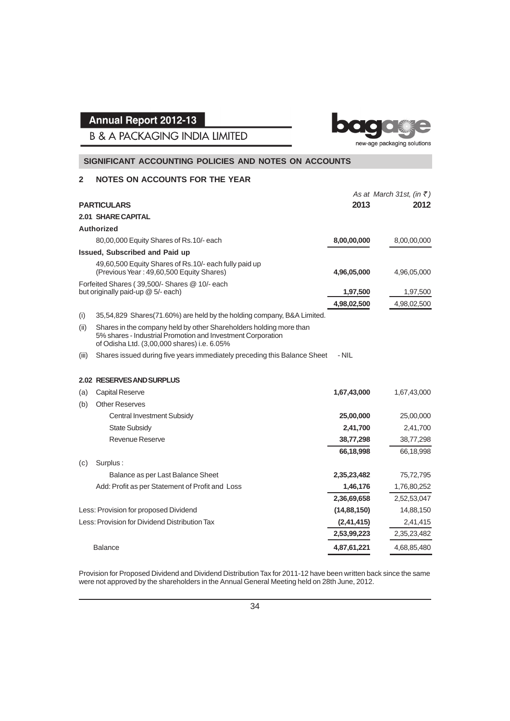

**B & A PACKAGING INDIA LIMITED** 

#### **SIGNIFICANT ACCOUNTING POLICIES AND NOTES ON ACCOUNTS**

#### **2 NOTES ON ACCOUNTS FOR THE YEAR**

|       |                                                                                                                                                                                  |               | As at March 31st, (in $\overline{\xi}$ ) |
|-------|----------------------------------------------------------------------------------------------------------------------------------------------------------------------------------|---------------|------------------------------------------|
|       | <b>PARTICULARS</b>                                                                                                                                                               | 2013          | 2012                                     |
|       | <b>2.01 SHARE CAPITAL</b>                                                                                                                                                        |               |                                          |
|       | Authorized                                                                                                                                                                       |               |                                          |
|       | 80,00,000 Equity Shares of Rs.10/- each                                                                                                                                          | 8,00,00,000   | 8,00,00,000                              |
|       | <b>Issued, Subscribed and Paid up</b>                                                                                                                                            |               |                                          |
|       | 49,60,500 Equity Shares of Rs.10/- each fully paid up<br>(Previous Year: 49,60,500 Equity Shares)                                                                                | 4,96,05,000   | 4,96,05,000                              |
|       | Forfeited Shares (39,500/- Shares @ 10/- each<br>but originally paid-up @ 5/- each)                                                                                              | 1,97,500      | 1,97,500                                 |
|       |                                                                                                                                                                                  | 4,98,02,500   | 4,98,02,500                              |
| (i)   | 35,54,829 Shares(71.60%) are held by the holding company, B&A Limited.                                                                                                           |               |                                          |
| (ii)  | Shares in the company held by other Shareholders holding more than<br>5% shares - Industrial Promotion and Investment Corporation<br>of Odisha Ltd. (3,00,000 shares) i.e. 6.05% |               |                                          |
| (iii) | Shares issued during five years immediately preceding this Balance Sheet                                                                                                         | - NIL         |                                          |
|       | 2.02 RESERVES AND SURPLUS                                                                                                                                                        |               |                                          |
| (a)   | <b>Capital Reserve</b>                                                                                                                                                           | 1,67,43,000   | 1,67,43,000                              |
| (b)   | <b>Other Reserves</b>                                                                                                                                                            |               |                                          |
|       | <b>Central Investment Subsidy</b>                                                                                                                                                | 25,00,000     | 25,00,000                                |
|       | <b>State Subsidy</b>                                                                                                                                                             | 2,41,700      | 2,41,700                                 |
|       | <b>Revenue Reserve</b>                                                                                                                                                           | 38,77,298     | 38,77,298                                |
|       |                                                                                                                                                                                  | 66,18,998     | 66,18,998                                |
| (c)   | Surplus:                                                                                                                                                                         |               |                                          |
|       | Balance as per Last Balance Sheet                                                                                                                                                | 2,35,23,482   | 75,72,795                                |
|       | Add: Profit as per Statement of Profit and Loss                                                                                                                                  | 1,46,176      | 1,76,80,252                              |
|       |                                                                                                                                                                                  | 2,36,69,658   | 2,52,53,047                              |
|       | Less: Provision for proposed Dividend                                                                                                                                            | (14, 88, 150) | 14,88,150                                |
|       | Less: Provision for Dividend Distribution Tax                                                                                                                                    | (2, 41, 415)  | 2,41,415                                 |
|       |                                                                                                                                                                                  | 2,53,99,223   | 2,35,23,482                              |
|       | <b>Balance</b>                                                                                                                                                                   | 4,87,61,221   | 4,68,85,480                              |

Provision for Proposed Dividend and Dividend Distribution Tax for 2011-12 have been written back since the same were not approved by the shareholders in the Annual General Meeting held on 28th June, 2012.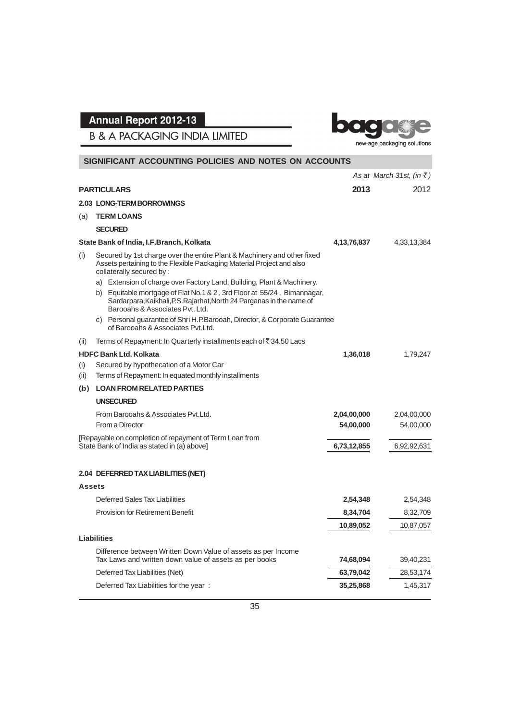**B & A PACKAGING INDIA LIMITED** 



|               | SIGNIFICANT ACCOUNTING POLICIES AND NOTES ON ACCOUNTS                                                                                                                                                                                                         |             |                                          |
|---------------|---------------------------------------------------------------------------------------------------------------------------------------------------------------------------------------------------------------------------------------------------------------|-------------|------------------------------------------|
|               |                                                                                                                                                                                                                                                               |             | As at March 31st, (in $\overline{\xi}$ ) |
|               | <b>PARTICULARS</b>                                                                                                                                                                                                                                            | 2013        | 2012                                     |
|               | 2.03 LONG-TERM BORROWINGS                                                                                                                                                                                                                                     |             |                                          |
| (a)           | <b>TERM LOANS</b>                                                                                                                                                                                                                                             |             |                                          |
|               | <b>SECURED</b>                                                                                                                                                                                                                                                |             |                                          |
|               | State Bank of India, I.F.Branch, Kolkata                                                                                                                                                                                                                      | 4,13,76,837 | 4,33,13,384                              |
| (i)           | Secured by 1st charge over the entire Plant & Machinery and other fixed<br>Assets pertaining to the Flexible Packaging Material Project and also<br>collaterally secured by:                                                                                  |             |                                          |
|               | a) Extension of charge over Factory Land, Building, Plant & Machinery.<br>b) Equitable mortgage of Flat No.1 & 2, 3rd Floor at 55/24, Bimannagar,<br>Sardarpara, Kaikhali, P.S. Rajarhat, North 24 Parganas in the name of<br>Barooahs & Associates Pyt. Ltd. |             |                                          |
|               | c) Personal guarantee of Shri H.P.Barooah, Director, & Corporate Guarantee<br>of Barooahs & Associates Pvt.Ltd.                                                                                                                                               |             |                                          |
| (ii)          | Terms of Repayment: In Quarterly installments each of ₹34.50 Lacs                                                                                                                                                                                             |             |                                          |
|               | <b>HDFC Bank Ltd. Kolkata</b>                                                                                                                                                                                                                                 | 1,36,018    | 1,79,247                                 |
| (i)<br>(ii)   | Secured by hypothecation of a Motor Car<br>Terms of Repayment: In equated monthly installments                                                                                                                                                                |             |                                          |
| (b)           | <b>LOAN FROM RELATED PARTIES</b>                                                                                                                                                                                                                              |             |                                          |
|               | <b>UNSECURED</b>                                                                                                                                                                                                                                              |             |                                          |
|               | From Barooahs & Associates Pyt. Ltd.                                                                                                                                                                                                                          | 2,04,00,000 | 2,04,00,000                              |
|               | From a Director                                                                                                                                                                                                                                               | 54,00,000   | 54,00,000                                |
|               | [Repayable on completion of repayment of Term Loan from<br>State Bank of India as stated in (a) above]                                                                                                                                                        | 6,73,12,855 | 6,92,92,631                              |
|               | 2.04 DEFERRED TAX LIABILITIES (NET)                                                                                                                                                                                                                           |             |                                          |
| <b>Assets</b> |                                                                                                                                                                                                                                                               |             |                                          |
|               | Deferred Sales Tax Liabilities                                                                                                                                                                                                                                | 2,54,348    | 2,54,348                                 |
|               | <b>Provision for Retirement Benefit</b>                                                                                                                                                                                                                       | 8,34,704    | 8,32,709                                 |
|               |                                                                                                                                                                                                                                                               | 10,89,052   | 10,87,057                                |
|               | <b>Liabilities</b>                                                                                                                                                                                                                                            |             |                                          |
|               | Difference between Written Down Value of assets as per Income                                                                                                                                                                                                 |             |                                          |
|               | Tax Laws and written down value of assets as per books                                                                                                                                                                                                        | 74,68,094   | 39,40,231                                |
|               | Deferred Tax Liabilities (Net)                                                                                                                                                                                                                                | 63,79,042   | 28,53,174                                |
|               | Deferred Tax Liabilities for the year:                                                                                                                                                                                                                        | 35,25,868   | 1,45,317                                 |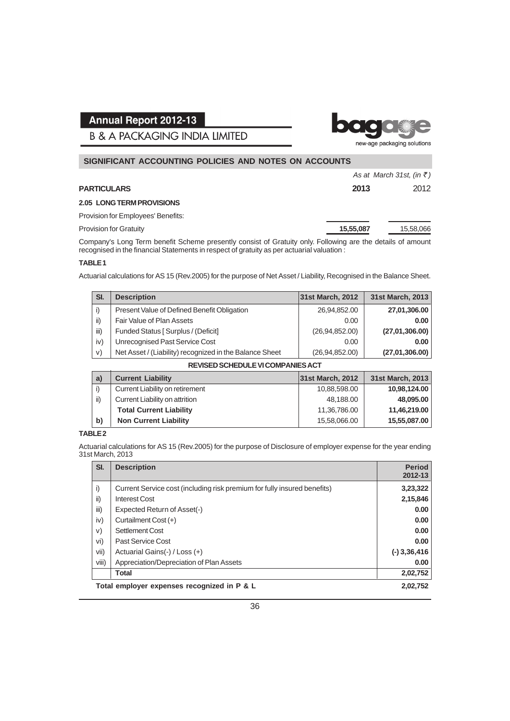**B & A PACKAGING INDIA LIMITED** 



| SIGNIFICANT ACCOUNTING POLICIES AND NOTES ON ACCOUNTS |           |                                   |  |  |
|-------------------------------------------------------|-----------|-----------------------------------|--|--|
|                                                       |           | As at March 31st, (in $\bar{z}$ ) |  |  |
| <b>PARTICULARS</b>                                    | 2013      | 2012                              |  |  |
| <b>2.05 LONG TERM PROVISIONS</b>                      |           |                                   |  |  |
| Provision for Employees' Benefits:                    |           |                                   |  |  |
| <b>Provision for Gratuity</b>                         | 15,55,087 | 15,58,066                         |  |  |

Company's Long Term benefit Scheme presently consist of Gratuity only. Following are the details of amount recognised in the financial Statements in respect of gratuity as per actuarial valuation :

#### **TABLE 1**

Actuarial calculations for AS 15 (Rev.2005) for the purpose of Net Asset / Liability, Recognised in the Balance Sheet.

| SI.                                      | <b>Description</b>                                      | 31st March, 2012 | 31st March, 2013 |  |  |
|------------------------------------------|---------------------------------------------------------|------------------|------------------|--|--|
| i)                                       | Present Value of Defined Benefit Obligation             | 26,94,852.00     | 27,01,306.00     |  |  |
| ii)                                      | Fair Value of Plan Assets                               | 0.00             | 0.00             |  |  |
| iii)                                     | Funded Status [ Surplus / (Deficit]                     | (26,94,852.00)   | (27,01,306.00)   |  |  |
| iv)                                      | Unrecognised Past Service Cost                          | 0.00             | 0.00             |  |  |
| V)                                       | Net Asset / (Liability) recognized in the Balance Sheet | (26, 94, 852.00) | (27,01,306.00)   |  |  |
| <b>REVISED SCHEDULE VI COMPANIES ACT</b> |                                                         |                  |                  |  |  |

| $\mathsf{a}$ | <b>Current Liability</b>        | 31st March, 2012 | 31st March, 2013 |  |  |  |  |
|--------------|---------------------------------|------------------|------------------|--|--|--|--|
| i)           | Current Liability on retirement | 10,88,598.00     | 10,98,124.00     |  |  |  |  |
| ii)          | Current Liability on attrition  | 48.188.00        | 48,095.00        |  |  |  |  |
|              | <b>Total Current Liability</b>  | 11,36,786.00     | 11,46,219.00     |  |  |  |  |
| b)           | <b>Non Current Liability</b>    | 15,58,066.00     | 15,55,087.00     |  |  |  |  |
|              |                                 |                  |                  |  |  |  |  |

#### **TABLE 2**

Actuarial calculations for AS 15 (Rev.2005) for the purpose of Disclosure of employer expense for the year ending 31st March, 2013

| SI.   | <b>Description</b>                                                       | <b>Period</b><br>2012-13 |
|-------|--------------------------------------------------------------------------|--------------------------|
| i)    | Current Service cost (including risk premium for fully insured benefits) | 3,23,322                 |
| ii)   | <b>Interest Cost</b>                                                     | 2,15,846                 |
| iii)  | Expected Return of Asset(-)                                              | 0.00                     |
| iv)   | Curtailment Cost (+)                                                     | 0.00                     |
| V)    | Settlement Cost                                                          | 0.00                     |
| vi)   | Past Service Cost                                                        | 0.00                     |
| vii)  | Actuarial Gains(-) / Loss (+)                                            | $(-)$ 3,36,416           |
| viii) | Appreciation/Depreciation of Plan Assets                                 | 0.00                     |
|       | <b>Total</b>                                                             | 2,02,752                 |
|       | Total employer expenses recognized in P & L                              | 2.02.752                 |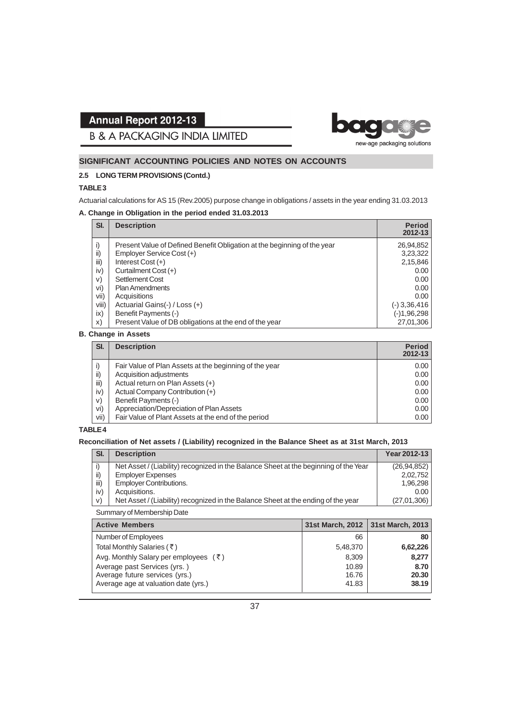bo new-age packaging solutions

**B & A PACKAGING INDIA LIMITED** 

#### **SIGNIFICANT ACCOUNTING POLICIES AND NOTES ON ACCOUNTS**

#### **2.5 LONG TERM PROVISIONS (Contd.)**

#### **TABLE 3**

Actuarial calculations for AS 15 (Rev.2005) purpose change in obligations / assets in the year ending 31.03.2013

#### **A. Change in Obligation in the period ended 31.03.2013**

| SI.   | <b>Description</b>                                                       | <b>Period</b><br>2012-13 |
|-------|--------------------------------------------------------------------------|--------------------------|
| i)    | Present Value of Defined Benefit Obligation at the beginning of the year | 26,94,852                |
| ii)   | Employer Service Cost (+)                                                | 3,23,322                 |
| iii)  | Interest Cost $(+)$                                                      | 2,15,846                 |
| iv)   | Curtailment Cost (+)                                                     | 0.00                     |
| V)    | Settlement Cost                                                          | 0.00                     |
| vi)   | <b>Plan Amendments</b>                                                   | 0.00                     |
| vii)  | Acquisitions                                                             | 0.00                     |
| Viii) | Actuarial Gains(-) / Loss (+)                                            | $(-)$ 3,36,416           |
| ix)   | Benefit Payments (-)                                                     | $(-)1,96,298$            |
| X)    | Present Value of DB obligations at the end of the year                   | 27,01,306                |

#### **B. Change in Assets**

| SI.  | <b>Description</b>                                     | <b>Period</b><br>2012-13 |
|------|--------------------------------------------------------|--------------------------|
|      | Fair Value of Plan Assets at the beginning of the year | 0.00                     |
| ii)  | Acquisition adjustments                                | 0.00                     |
| iii) | Actual return on Plan Assets (+)                       | 0.00                     |
| iv)  | Actual Company Contribution (+)                        | 0.00                     |
| V)   | Benefit Payments (-)                                   | 0.00                     |
| vi)  | Appreciation/Depreciation of Plan Assets               | 0.00                     |
| vii) | Fair Value of Plant Assets at the end of the period    | 0.00                     |

#### **TABLE 4**

#### **Reconciliation of Net assets / (Liability) recognized in the Balance Sheet as at 31st March, 2013**

| SI.  | <b>Description</b>                                                                   | Year 2012-13  |
|------|--------------------------------------------------------------------------------------|---------------|
|      | Net Asset / (Liability) recognized in the Balance Sheet at the beginning of the Year | (26, 94, 852) |
| ii)  | <b>Employer Expenses</b>                                                             | 2.02.752      |
| iii) | <b>Employer Contributions.</b>                                                       | 1.96.298      |
| iv)  | Acquisitions.                                                                        | 0.00          |
| V)   | Net Asset / (Liability) recognized in the Balance Sheet at the ending of the year    | (27,01,306)   |

Summary of Membership Date

| <b>Active Members</b>                            |          | 31st March, 2012   31st March, 2013 |
|--------------------------------------------------|----------|-------------------------------------|
| Number of Employees                              | 66       | 80 l                                |
| Total Monthly Salaries (₹)                       | 5,48,370 | 6,62,226                            |
| Avg. Monthly Salary per employees $(\bar{\tau})$ | 8,309    | 8.277                               |
| Average past Services (yrs.)                     | 10.89    | 8.70                                |
| Average future services (yrs.)                   | 16.76    | 20.30                               |
| Average age at valuation date (yrs.)             | 41.83    | 38.19                               |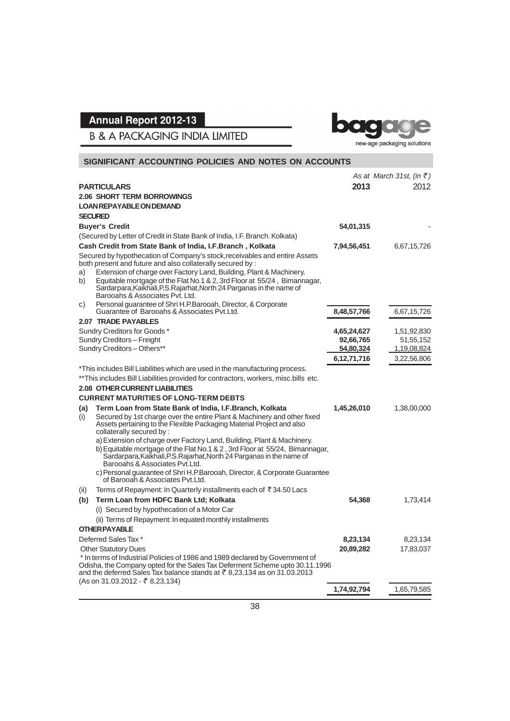bage e

**B & A PACKAGING INDIA LIMITED** 

new-age packaging solutions

| SIGNIFICANT ACCOUNTING POLICIES AND NOTES ON ACCOUNTS |                                                                                                                                                                                                                                                     |                        |                                   |  |
|-------------------------------------------------------|-----------------------------------------------------------------------------------------------------------------------------------------------------------------------------------------------------------------------------------------------------|------------------------|-----------------------------------|--|
|                                                       |                                                                                                                                                                                                                                                     |                        | As at March 31st, (in $\bar{z}$ ) |  |
|                                                       | <b>PARTICULARS</b>                                                                                                                                                                                                                                  | 2013                   | 2012                              |  |
|                                                       | <b>2.06 SHORT TERM BORROWINGS</b>                                                                                                                                                                                                                   |                        |                                   |  |
|                                                       | <b>LOAN REPAYABLE ON DEMAND</b>                                                                                                                                                                                                                     |                        |                                   |  |
|                                                       | <b>SECURED</b>                                                                                                                                                                                                                                      |                        |                                   |  |
|                                                       | <b>Buyer's Credit</b>                                                                                                                                                                                                                               | 54,01,315              |                                   |  |
|                                                       | (Secured by Letter of Credit in State Bank of India, I.F. Branch. Kolkata)                                                                                                                                                                          |                        |                                   |  |
|                                                       | Cash Credit from State Bank of India, I.F.Branch, Kolkata                                                                                                                                                                                           | 7,94,56,451            | 6,67,15,726                       |  |
|                                                       | Secured by hypothecation of Company's stock, receivables and entire Assets<br>both present and future and also collaterally secured by:                                                                                                             |                        |                                   |  |
| a)                                                    | Extension of charge over Factory Land, Building, Plant & Machinery.                                                                                                                                                                                 |                        |                                   |  |
| b)                                                    | Equitable mortgage of the Flat No.1 & 2, 3rd Floor at 55/24, Bimannagar,<br>Sardarpara, Kaikhali, P.S. Rajarhat, North 24 Parganas in the name of<br>Barooahs & Associates Pvt. Ltd.                                                                |                        |                                   |  |
| C)                                                    | Personal guarantee of Shri H.P.Barooah, Director, & Corporate                                                                                                                                                                                       |                        |                                   |  |
|                                                       | Guarantee of Barooahs & Associates Pyt.Ltd.                                                                                                                                                                                                         | 8,48,57,766            | 6,67,15,726                       |  |
|                                                       | 2.07 TRADE PAYABLES                                                                                                                                                                                                                                 |                        |                                   |  |
|                                                       | Sundry Creditors for Goods*<br>Sundry Creditors - Freight                                                                                                                                                                                           | 4,65,24,627            | 1,51,92,830                       |  |
|                                                       | Sundry Creditors - Others**                                                                                                                                                                                                                         | 92,66,765<br>54,80,324 | 51,55,152<br>1,19,08,824          |  |
|                                                       |                                                                                                                                                                                                                                                     | 6,12,71,716            | 3,22,56,806                       |  |
|                                                       | *This includes Bill Liabilities which are used in the manufacturing process.                                                                                                                                                                        |                        |                                   |  |
|                                                       | **This includes Bill Liabilities provided for contractors, workers, misc.bills etc.                                                                                                                                                                 |                        |                                   |  |
|                                                       | <b>2.08 OTHER CURRENT LIABILITIES</b>                                                                                                                                                                                                               |                        |                                   |  |
|                                                       | <b>CURRENT MATURITIES OF LONG-TERM DEBTS</b>                                                                                                                                                                                                        |                        |                                   |  |
| (a)                                                   | Term Loan from State Bank of India, I.F.Branch, Kolkata                                                                                                                                                                                             | 1,45,26,010            | 1,38,00,000                       |  |
| (i)                                                   | Secured by 1st charge over the entire Plant & Machinery and other fixed<br>Assets pertaining to the Flexible Packaging Material Project and also<br>collaterally secured by:                                                                        |                        |                                   |  |
|                                                       | a) Extension of charge over Factory Land, Building, Plant & Machinery.                                                                                                                                                                              |                        |                                   |  |
|                                                       | b) Equitable mortgage of the Flat No.1 & 2, 3rd Floor at 55/24, Bimannagar,<br>Sardarpara, Kaikhali, P.S. Rajarhat, North 24 Parganas in the name of<br>Barooahs & Associates Pyt. Ltd.                                                             |                        |                                   |  |
|                                                       | c) Personal quarantee of Shri H.P.Barooah, Director, & Corporate Guarantee<br>of Barooah & Associates Pvt.Ltd.                                                                                                                                      |                        |                                   |  |
| (ii)                                                  | Terms of Repayment: In Quarterly installments each of ₹34.50 Lacs                                                                                                                                                                                   |                        |                                   |  |
| (b)                                                   | Term Loan from HDFC Bank Ltd; Kolkata                                                                                                                                                                                                               | 54,368                 | 1,73,414                          |  |
|                                                       | (i) Secured by hypothecation of a Motor Car                                                                                                                                                                                                         |                        |                                   |  |
|                                                       | (ii) Terms of Repayment: In equated monthly installments                                                                                                                                                                                            |                        |                                   |  |
|                                                       | <b>OTHER PAYABLE</b>                                                                                                                                                                                                                                |                        |                                   |  |
|                                                       | Deferred Sales Tax *                                                                                                                                                                                                                                | 8,23,134               | 8,23,134                          |  |
|                                                       | <b>Other Statutory Dues</b>                                                                                                                                                                                                                         | 20,89,282              | 17,83,037                         |  |
|                                                       | * In terms of Industrial Policies of 1986 and 1989 declared by Government of<br>Odisha, the Company opted for the Sales Tax Deferment Scheme upto 30.11.1996<br>and the deferred Sales Tax balance stands at $\bar{\tau}$ 8,23,134 as on 31.03.2013 |                        |                                   |  |
|                                                       | $(As on 31.03.2012 - ₹ 8.23.134)$                                                                                                                                                                                                                   |                        |                                   |  |
|                                                       |                                                                                                                                                                                                                                                     | 1,74,92,794            | 1,65,79,585                       |  |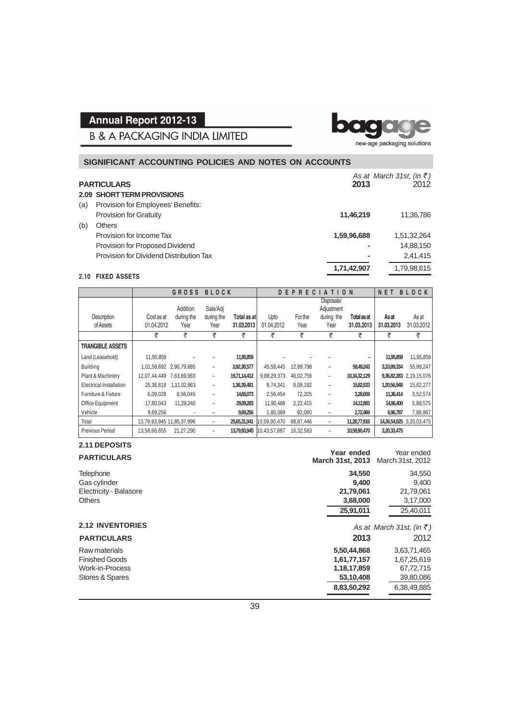**B & A PACKAGING INDIA LIMITED** 

bo new-age packaging solutions

#### **2.09 SHORT TERM PROVISIONS** (a) Provision for Employees' Benefits: Provision for Gratuity **11,46,219** 11,36,786 (b) Others Provision for Income Tax **1,59,96,688** 1,51,32,264 Provision for Proposed Dividend **-** 14,88,150 Provision for Dividend Distribution Tax **-** 2,41,415 **1,71,42,907** 1,79,98,615 **SIGNIFICANT ACCOUNTING POLICIES AND NOTES ON ACCOUNTS** *As at March 31st, (in* ` *)* **PARTICULARS 2013** 2012

#### **2.10 FIXED ASSETS**

|                         |                           | <b>GROSS</b> | <b>BLOCK</b> |              |              | DEPREC    | AT                       | O N          | NET         | <b>BLOCK</b>             |
|-------------------------|---------------------------|--------------|--------------|--------------|--------------|-----------|--------------------------|--------------|-------------|--------------------------|
|                         |                           | Addition     | Sale/Adi     |              |              |           | Disposals/<br>Adjustment |              |             |                          |
| Description             | Cost as at                | during the   | during the   | Total as at  | Upto         | For the   | during the               | Total as at  | Asat        | As at                    |
| of Assets               | 01.04.2012                | Year         | Year         | 31.03.2013   | 01.04.2012   | Year      | Year                     | 31.03.2013   | 31.03.2013  | 31.03.2012               |
|                         | ₹                         | ₹            | ₹            | ₹            | ₹            | ₹         | ₹                        | ₹            | ₹           | ₹                        |
| <b>TRANGIBLE ASSETS</b> |                           |              |              |              |              |           |                          |              |             |                          |
| Land (Leasehold)        | 11,95,859                 |              |              | 11,95,859    |              |           |                          |              | 11,95,859   | 11,95,859                |
| <b>Building</b>         | 1,01,58,692               | 2,90,79,885  | -            | 3,92,38,577  | 45.59.445    | 12,89,798 |                          | 58,49,243    | 3,33,89,334 | 55,99,247                |
| Plant & Machinery       | 12,07,44,449              | 7,63,69,963  | -            | 19,71,14,412 | 9,88,29,373  | 46,02,756 | -                        | 10,34,32,129 | 9,36,82,283 | 2,19,15,076              |
| Electrical Installation | 25,36,618                 | 1,11,02,863  | -            | 1,36,39,481  | 9,74,341     | 6,08,192  | -                        | 15,82,533    | 1,20,56,948 | 15,62,277                |
| Furniture & Fixture     | 6,09,028                  | 8,56,045     | -            | 14,65,073    | 2,56,454     | 72,205    | -                        | 3,28,659     | 11,36,414   | 3,52,574                 |
| Office Equipment        | 17,80,043                 | 11,29,240    | -            | 29,09,283    | 11,90,468    | 2,22,415  |                          | 14,12,883    | 14,96,400   | 5,89,575                 |
| Vehicle                 | 9,69,256                  |              | -            | 9,69,256     | 1,80,389     | 92,080    | -                        | 2,72,469     | 6,96,787    | 7,88,867                 |
| Total                   | 13,79,93,945 11,85,37,996 |              | -            | 25,65,31,941 | 10,59,90,470 | 68,87,446 | -                        | 11,28,77,916 |             | 14,36,54,025 3,20,03,475 |
| <b>Previous Period</b>  | 13,58,66,655              | 21,27,290    | -            | 13,79,93,945 | 10,43,57,887 | 16,32,583 |                          | 10,59,90,470 | 3,20,33,475 |                          |

#### **2.11 DEPOSITS**

| <b>PARTICULARS</b>      | Year ended<br><b>March 31st, 2013</b> | Year ended<br>March 31st, 2012    |
|-------------------------|---------------------------------------|-----------------------------------|
| Telephone               | 34,550                                | 34,550                            |
| Gas cylinder            | 9.400                                 | 9.400                             |
| Electricity - Balasore  | 21,79,061                             | 21,79,061                         |
| <b>Others</b>           | 3,68,000                              | 3,17,000                          |
|                         | 25,91,011                             | 25,40,011                         |
| <b>2.12 INVENTORIES</b> |                                       | As at March 31st, (in $\bar{z}$ ) |
| <b>PARTICULARS</b>      | 2013                                  | 2012                              |
| Raw materials           | 5,50,44,868                           | 3,63,71,465                       |
| <b>Finished Goods</b>   | 1,61,77,157                           | 1,67,25,619                       |
| <b>Work-in-Process</b>  | 1,18,17,859                           | 67,72,715                         |
| Stores & Spares         | 53,10,408                             | 39,80,086                         |
|                         | 8,83,50,292                           | 6,38,49,885                       |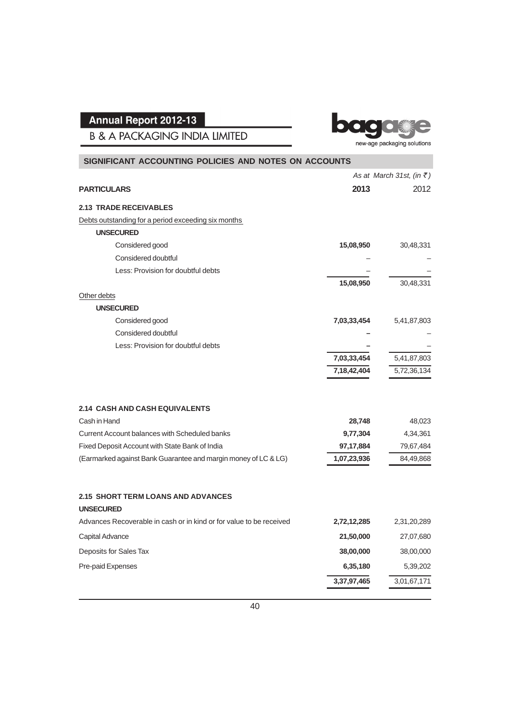**B & A PACKAGING INDIA LIMITED** 



| SIGNIFICANT ACCOUNTING POLICIES AND NOTES ON ACCOUNTS               |             |                                   |
|---------------------------------------------------------------------|-------------|-----------------------------------|
|                                                                     |             | As at March 31st, (in $\bar{z}$ ) |
| <b>PARTICULARS</b>                                                  | 2013        | 2012                              |
| <b>2.13 TRADE RECEIVABLES</b>                                       |             |                                   |
| Debts outstanding for a period exceeding six months                 |             |                                   |
| <b>UNSECURED</b>                                                    |             |                                   |
| Considered good                                                     | 15,08,950   | 30,48,331                         |
| Considered doubtful                                                 |             |                                   |
| Less: Provision for doubtful debts                                  |             |                                   |
|                                                                     | 15,08,950   | 30,48,331                         |
| Other debts                                                         |             |                                   |
| <b>UNSECURED</b>                                                    |             |                                   |
| Considered good                                                     | 7,03,33,454 | 5,41,87,803                       |
| Considered doubtful                                                 |             |                                   |
| Less: Provision for doubtful debts                                  |             |                                   |
|                                                                     | 7,03,33,454 | 5,41,87,803                       |
|                                                                     | 7,18,42,404 | 5,72,36,134                       |
| <b>2.14 CASH AND CASH EQUIVALENTS</b>                               |             |                                   |
| Cash in Hand                                                        | 28,748      | 48,023                            |
| Current Account balances with Scheduled banks                       | 9,77,304    | 4,34,361                          |
| Fixed Deposit Account with State Bank of India                      | 97, 17, 884 | 79,67,484                         |
| (Earmarked against Bank Guarantee and margin money of LC & LG)      | 1,07,23,936 | 84,49,868                         |
| <b>2.15 SHORT TERM LOANS AND ADVANCES</b>                           |             |                                   |
| <b>UNSECURED</b>                                                    |             |                                   |
| Advances Recoverable in cash or in kind or for value to be received | 2,72,12,285 | 2,31,20,289                       |
| Capital Advance                                                     | 21,50,000   | 27,07,680                         |
| Deposits for Sales Tax                                              | 38,00,000   | 38,00,000                         |
| Pre-paid Expenses                                                   | 6,35,180    | 5,39,202                          |
|                                                                     | 3,37,97,465 | 3,01,67,171                       |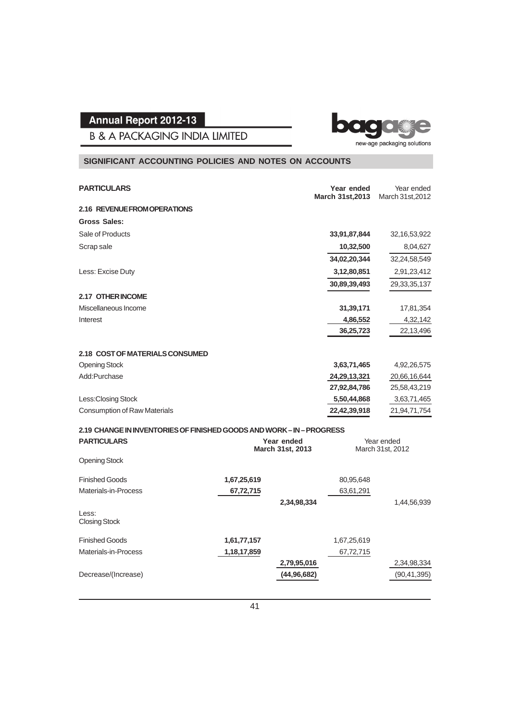**B & A PACKAGING INDIA LIMITED** 

#### **SIGNIFICANT ACCOUNTING POLICIES AND NOTES ON ACCOUNTS**

| <b>PARTICULARS</b>                                                |                                | Year ended<br><b>March 31st, 2013</b> | Year ended<br>March 31st, 2012 |
|-------------------------------------------------------------------|--------------------------------|---------------------------------------|--------------------------------|
| 2.16 REVENUE FROM OPERATIONS                                      |                                |                                       |                                |
| <b>Gross Sales:</b>                                               |                                |                                       |                                |
| Sale of Products                                                  |                                | 33,91,87,844                          | 32, 16, 53, 922                |
| Scrap sale                                                        |                                | 10,32,500                             | 8,04,627                       |
|                                                                   |                                | 34,02,20,344                          | 32,24,58,549                   |
| Less: Excise Duty                                                 |                                | 3,12,80,851                           | 2,91,23,412                    |
|                                                                   |                                | 30,89,39,493                          | 29, 33, 35, 137                |
| 2.17 OTHER INCOME                                                 |                                |                                       |                                |
| Miscellaneous Income                                              |                                | 31,39,171                             | 17,81,354                      |
| Interest                                                          |                                | 4,86,552                              | 4,32,142                       |
|                                                                   |                                | 36,25,723                             | 22,13,496                      |
| 2.18 COST OF MATERIALS CONSUMED                                   |                                |                                       |                                |
| <b>Opening Stock</b>                                              |                                | 3,63,71,465                           | 4,92,26,575                    |
| Add:Purchase                                                      |                                | 24,29,13,321                          | 20,66,16,644                   |
|                                                                   |                                | 27,92,84,786                          | 25,58,43,219                   |
| Less: Closing Stock                                               |                                | 5,50,44,868                           | 3,63,71,465                    |
| <b>Consumption of Raw Materials</b>                               |                                | 22,42,39,918                          | 21,94,71,754                   |
| 2.19 CHANGE IN INVENTORIES OF FINISHED GOODS AND WORK-IN-PROGRESS |                                |                                       |                                |
| <b>PARTICULARS</b>                                                | Year ended<br>March 31st, 2013 |                                       | Year ended<br>March 31st, 2012 |
| <b>Opening Stock</b>                                              |                                |                                       |                                |
| $- \cdot \cdot \cdot - \cdot$                                     |                                |                                       |                                |

| <b>Finished Goods</b><br>Materials-in-Process | 1,67,25,619<br>67,72,715 |               | 80,95,648<br>63,61,291 |               |
|-----------------------------------------------|--------------------------|---------------|------------------------|---------------|
|                                               |                          | 2,34,98,334   |                        | 1,44,56,939   |
| Less:<br><b>Closing Stock</b>                 |                          |               |                        |               |
| <b>Finished Goods</b>                         | 1,61,77,157              |               | 1,67,25,619            |               |
| Materials-in-Process                          | 1,18,17,859              |               | 67,72,715              |               |
|                                               |                          | 2,79,95,016   |                        | 2,34,98,334   |
| Decrease/(Increase)                           |                          | (44, 96, 682) |                        | (90, 41, 395) |
|                                               |                          |               |                        |               |

baga new-age packaging solutions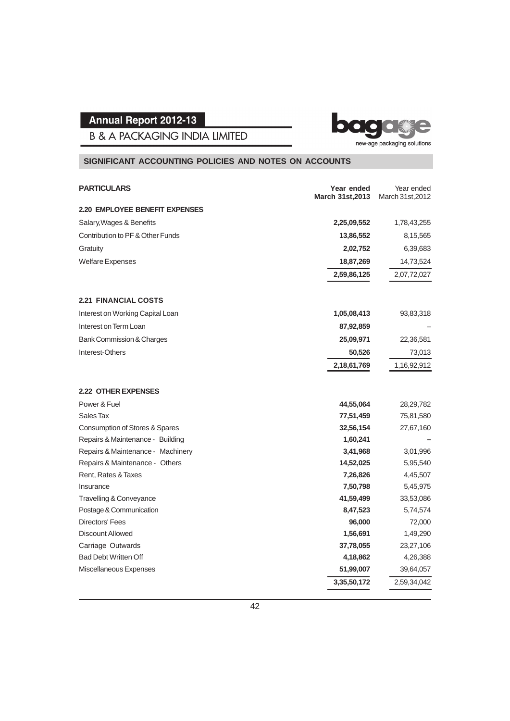

**B & A PACKAGING INDIA LIMITED** 

### **SIGNIFICANT ACCOUNTING POLICIES AND NOTES ON ACCOUNTS**

| <b>PARTICULARS</b>                    | Year ended<br><b>March 31st, 2013</b> | Year ended<br>March 31st, 2012 |
|---------------------------------------|---------------------------------------|--------------------------------|
| <b>2.20 EMPLOYEE BENEFIT EXPENSES</b> |                                       |                                |
| Salary, Wages & Benefits              | 2,25,09,552                           | 1,78,43,255                    |
| Contribution to PF & Other Funds      | 13,86,552                             | 8,15,565                       |
| Gratuity                              | 2,02,752                              | 6,39,683                       |
| <b>Welfare Expenses</b>               | 18,87,269                             | 14,73,524                      |
|                                       | 2,59,86,125                           | 2,07,72,027                    |
| <b>2.21 FINANCIAL COSTS</b>           |                                       |                                |
| Interest on Working Capital Loan      | 1,05,08,413                           | 93,83,318                      |
| Interest on Term Loan                 | 87,92,859                             |                                |
| <b>Bank Commission &amp; Charges</b>  | 25,09,971                             | 22,36,581                      |
| Interest-Others                       | 50,526                                | 73,013                         |
|                                       | 2,18,61,769                           | 1,16,92,912                    |
| <b>2.22 OTHER EXPENSES</b>            |                                       |                                |
| Power & Fuel                          | 44,55,064                             | 28,29,782                      |
| Sales Tax                             | 77,51,459                             | 75,81,580                      |
| Consumption of Stores & Spares        | 32,56,154                             | 27,67,160                      |
| Repairs & Maintenance - Building      | 1,60,241                              |                                |
| Repairs & Maintenance - Machinery     | 3,41,968                              | 3,01,996                       |
| Repairs & Maintenance - Others        | 14,52,025                             | 5,95,540                       |
| Rent, Rates & Taxes                   | 7,26,826                              | 4,45,507                       |
| Insurance                             | 7,50,798                              | 5,45,975                       |
| Travelling & Conveyance               | 41,59,499                             | 33,53,086                      |
| Postage & Communication               | 8,47,523                              | 5,74,574                       |
| Directors' Fees                       | 96,000                                | 72,000                         |
| <b>Discount Allowed</b>               | 1,56,691                              | 1,49,290                       |
| Carriage Outwards                     | 37,78,055                             | 23,27,106                      |
| <b>Bad Debt Written Off</b>           | 4,18,862                              | 4,26,388                       |
| Miscellaneous Expenses                | 51,99,007                             | 39,64,057                      |
|                                       | 3,35,50,172                           | 2,59,34,042                    |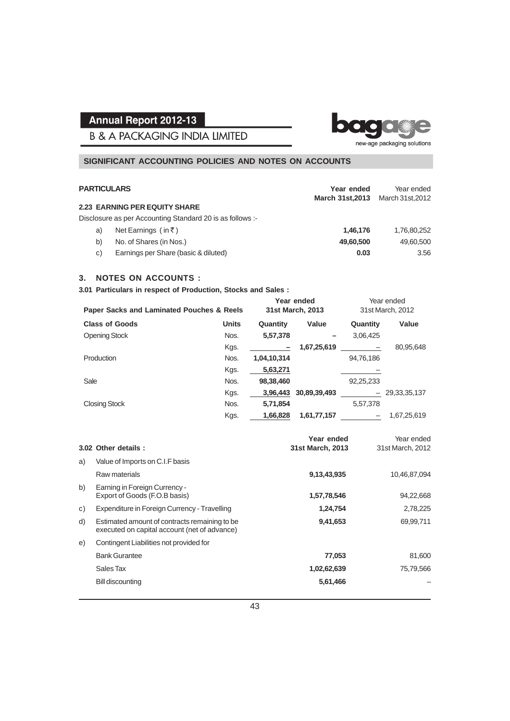**B & A PACKAGING INDIA LIMITED** 



ba

#### **SIGNIFICANT ACCOUNTING POLICIES AND NOTES ON ACCOUNTS**

| <b>PARTICULARS</b> |                                                           | Year ended              | Year ended       |
|--------------------|-----------------------------------------------------------|-------------------------|------------------|
|                    |                                                           | <b>March 31st, 2013</b> | March 31st, 2012 |
|                    | <b>2.23 EARNING PER EQUITY SHARE</b>                      |                         |                  |
|                    | Disclosure as per Accounting Standard 20 is as follows :- |                         |                  |
| a)                 | Net Earnings (in ₹)                                       | 1,46,176                | 1,76,80,252      |
| b)                 | No. of Shares (in Nos.)                                   | 49,60,500               | 49,60,500        |
| C)                 | Earnings per Share (basic & diluted)                      | 0.03                    | 3.56             |

#### **3. NOTES ON ACCOUNTS :**

**3.01 Particulars in respect of Production, Stocks and Sales :**

| <b>Paper Sacks and Laminated Pouches &amp; Reels</b> |              |             | Year ended<br>31st March, 2013 | Year ended<br>31st March, 2012 |                 |
|------------------------------------------------------|--------------|-------------|--------------------------------|--------------------------------|-----------------|
| <b>Class of Goods</b>                                | <b>Units</b> | Quantity    | Value                          | Quantity                       | Value           |
| Opening Stock                                        | Nos.         | 5,57,378    |                                | 3.06.425                       |                 |
|                                                      | Kgs.         |             | 1,67,25,619                    |                                | 80,95,648       |
| Production                                           | Nos.         | 1,04,10,314 |                                | 94,76,186                      |                 |
|                                                      | Kgs.         | 5,63,271    |                                |                                |                 |
| Sale                                                 | Nos.         | 98,38,460   |                                | 92,25,233                      |                 |
|                                                      | Kgs.         | 3,96,443    | 30,89,39,493                   |                                | 29, 33, 35, 137 |
| <b>Closing Stock</b>                                 | Nos.         | 5,71,854    |                                | 5,57,378                       |                 |
|                                                      | Kgs.         | 1,66,828    | 1,61,77,157                    |                                | 1.67.25.619     |

|    | 3.02 Other details :                                                                          | Year ended<br>31st March, 2013 | Year ended<br>31st March, 2012 |
|----|-----------------------------------------------------------------------------------------------|--------------------------------|--------------------------------|
| a) | Value of Imports on C.I.F basis                                                               |                                |                                |
|    | Raw materials                                                                                 | 9,13,43,935                    | 10,46,87,094                   |
| b) | Earning in Foreign Currency -<br>Export of Goods (F.O.B basis)                                | 1,57,78,546                    | 94,22,668                      |
| C) | Expenditure in Foreign Currency - Travelling                                                  | 1,24,754                       | 2,78,225                       |
| d) | Estimated amount of contracts remaining to be<br>executed on capital account (net of advance) | 9,41,653                       | 69,99,711                      |
| e) | Contingent Liabilities not provided for                                                       |                                |                                |
|    | <b>Bank Gurantee</b>                                                                          | 77,053                         | 81,600                         |
|    | Sales Tax                                                                                     | 1,02,62,639                    | 75,79,566                      |
|    | <b>Bill discounting</b>                                                                       | 5,61,466                       |                                |
|    |                                                                                               |                                |                                |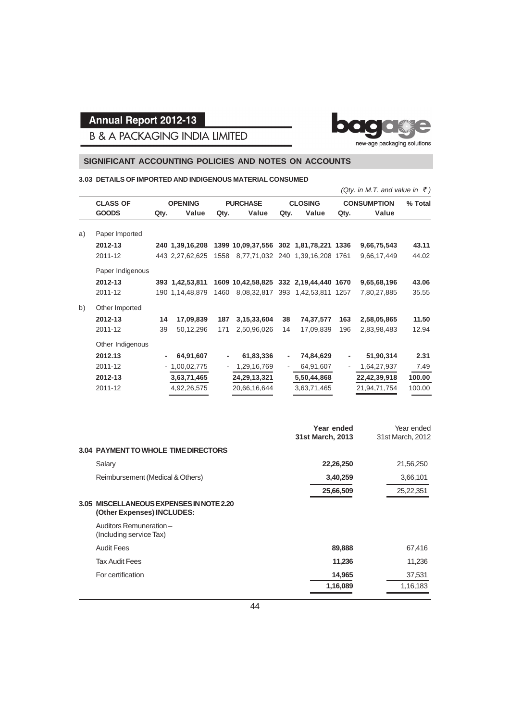

**B & A PACKAGING INDIA LIMITED** 

#### **SIGNIFICANT ACCOUNTING POLICIES AND NOTES ON ACCOUNTS**

#### **3.03 DETAILS OF IMPORTED AND INDIGENOUS MATERIAL CONSUMED**

|    |                  |      |                 |      |                                        |                          |                                  |      | (Qty. in M.T. and value in ₹) |         |
|----|------------------|------|-----------------|------|----------------------------------------|--------------------------|----------------------------------|------|-------------------------------|---------|
|    | <b>CLASS OF</b>  |      | <b>OPENING</b>  |      | <b>PURCHASE</b>                        |                          | <b>CLOSING</b>                   |      | <b>CONSUMPTION</b>            | % Total |
|    | <b>GOODS</b>     | Qty. | Value           | Qty. | Value                                  | Qty.                     | Value                            | Qty. | Value                         |         |
| a) | Paper Imported   |      |                 |      |                                        |                          |                                  |      |                               |         |
|    | 2012-13          |      | 240 1,39,16,208 |      | 1399 10,09,37,556 302 1,81,78,221 1336 |                          |                                  |      | 9,66,75,543                   | 43.11   |
|    | 2011-12          |      | 443 2,27,62,625 | 1558 |                                        |                          | 8,77,71,032 240 1,39,16,208 1761 |      | 9,66,17,449                   | 44.02   |
|    | Paper Indigenous |      |                 |      |                                        |                          |                                  |      |                               |         |
|    | 2012-13          |      | 393 1,42,53,811 |      | 1609 10,42,58,825 332 2,19,44,440 1670 |                          |                                  |      | 9,65,68,196                   | 43.06   |
|    | 2011-12          |      | 190 1,14,48,879 | 1460 |                                        |                          | 8,08,32,817 393 1,42,53,811 1257 |      | 7,80,27,885                   | 35.55   |
| b) | Other Imported   |      |                 |      |                                        |                          |                                  |      |                               |         |
|    | 2012-13          | 14   | 17,09,839       | 187  | 3, 15, 33, 604                         | 38                       | 74,37,577                        | 163  | 2,58,05,865                   | 11.50   |
|    | 2011-12          | 39   | 50,12,296       | 171  | 2,50,96,026                            | 14                       | 17,09,839                        | 196  | 2,83,98,483                   | 12.94   |
|    | Other Indigenous |      |                 |      |                                        |                          |                                  |      |                               |         |
|    | 2012.13          | -    | 64,91,607       | -    | 61,83,336                              | $\overline{\phantom{a}}$ | 74,84,629                        | -    | 51,90,314                     | 2.31    |
|    | 2011-12          |      | $-1,00,02,775$  |      | 1,29,16,769                            |                          | 64,91,607                        |      | 1,64,27,937                   | 7.49    |
|    | 2012-13          |      | 3,63,71,465     |      | 24, 29, 13, 321                        |                          | 5,50,44,868                      |      | 22,42,39,918                  | 100.00  |
|    | 2011-12          |      | 4,92,26,575     |      | 20,66,16,644                           |                          | 3,63,71,465                      |      | 21,94,71,754                  | 100.00  |
|    |                  |      |                 |      |                                        |                          |                                  |      |                               |         |

|                                                                           | Year ended<br>31st March, 2013 | Year ended<br>31st March, 2012 |
|---------------------------------------------------------------------------|--------------------------------|--------------------------------|
| <b>3.04 PAYMENT TO WHOLE TIME DIRECTORS</b>                               |                                |                                |
| Salary                                                                    | 22,26,250                      | 21,56,250                      |
| Reimbursement (Medical & Others)                                          | 3,40,259                       | 3,66,101                       |
|                                                                           | 25,66,509                      | 25,22,351                      |
| MISCELLANEOUS EXPENSES IN NOTE 2.20<br>3.05<br>(Other Expenses) INCLUDES: |                                |                                |
| Auditors Remuneration-<br>(Including service Tax)                         |                                |                                |
| <b>Audit Fees</b>                                                         | 89,888                         | 67,416                         |
| <b>Tax Audit Fees</b>                                                     | 11,236                         | 11,236                         |
| For certification                                                         | 14,965                         | 37,531                         |
|                                                                           | 1,16,089                       | 1,16,183                       |
|                                                                           |                                |                                |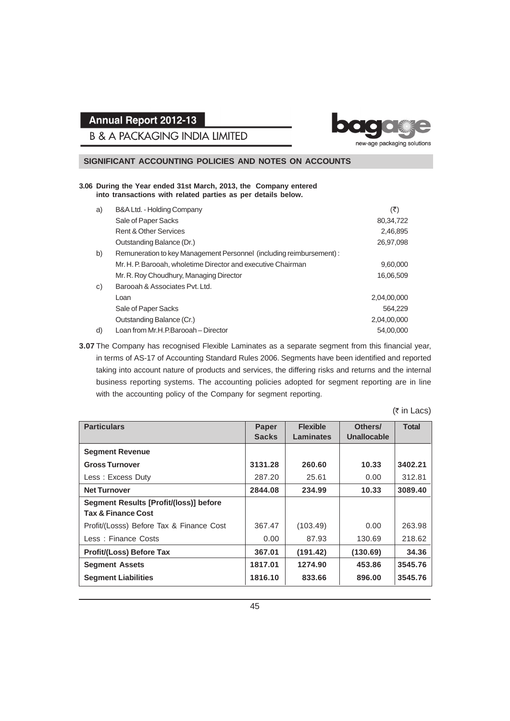**B & A PACKAGING INDIA LIMITED** 



#### **SIGNIFICANT ACCOUNTING POLICIES AND NOTES ON ACCOUNTS**

#### **3.06 During the Year ended 31st March, 2013, the Company entered into transactions with related parties as per details below.**

| a) | B&A Ltd. - Holding Company                                          | (₹)         |
|----|---------------------------------------------------------------------|-------------|
|    | Sale of Paper Sacks                                                 | 80, 34, 722 |
|    | <b>Rent &amp; Other Services</b>                                    | 2,46,895    |
|    | Outstanding Balance (Dr.)                                           | 26,97,098   |
| b) | Remuneration to key Management Personnel (including reimbursement): |             |
|    | Mr. H. P. Barooah, wholetime Director and executive Chairman        | 9,60,000    |
|    | Mr. R. Roy Choudhury, Managing Director                             | 16,06,509   |
| C) | Barooah & Associates Pyt. Ltd.                                      |             |
|    | Loan                                                                | 2,04,00,000 |
|    | Sale of Paper Sacks                                                 | 564.229     |
|    | Outstanding Balance (Cr.)                                           | 2,04,00,000 |
| d) | Loan from Mr.H.P.Barooah - Director                                 | 54.00.000   |

**3.07** The Company has recognised Flexible Laminates as a separate segment from this financial year, in terms of AS-17 of Accounting Standard Rules 2006. Segments have been identified and reported taking into account nature of products and services, the differing risks and returns and the internal business reporting systems. The accounting policies adopted for segment reporting are in line with the accounting policy of the Company for segment reporting.

 $($ ₹ in Lacs)

| <b>Particulars</b>                       | <b>Paper</b> | <b>Flexible</b> | Others/     | <b>Total</b> |
|------------------------------------------|--------------|-----------------|-------------|--------------|
|                                          | <b>Sacks</b> | Laminates       | Unallocable |              |
| <b>Segment Revenue</b>                   |              |                 |             |              |
| <b>Gross Turnover</b>                    | 3131.28      | 260.60          | 10.33       | 3402.21      |
| Less: Excess Duty                        | 287.20       | 25.61           | 0.00        | 312.81       |
| <b>Net Turnover</b>                      | 2844.08      | 234.99          | 10.33       | 3089.40      |
| Segment Results [Profit/(loss)] before   |              |                 |             |              |
| <b>Tax &amp; Finance Cost</b>            |              |                 |             |              |
| Profit/(Losss) Before Tax & Finance Cost | 367.47       | (103.49)        | 0.00        | 263.98       |
| Less: Finance Costs                      | 0.00         | 87.93           | 130.69      | 218.62       |
| <b>Profit/(Loss) Before Tax</b>          | 367.01       | (191.42)        | (130.69)    | 34.36        |
| <b>Segment Assets</b>                    | 1817.01      | 1274.90         | 453.86      | 3545.76      |
| <b>Segment Liabilities</b>               | 1816.10      | 833.66          | 896.00      | 3545.76      |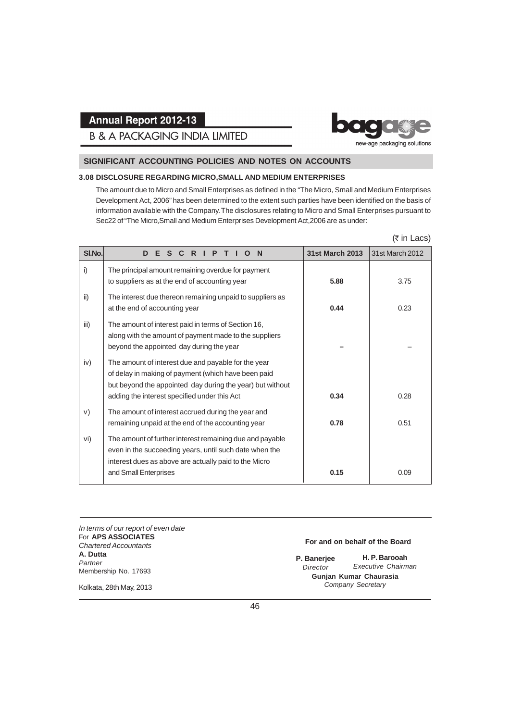## **B & A PACKAGING INDIA LIMITED**



#### **SIGNIFICANT ACCOUNTING POLICIES AND NOTES ON ACCOUNTS**

#### **3.08 DISCLOSURE REGARDING MICRO,SMALL AND MEDIUM ENTERPRISES**

The amount due to Micro and Small Enterprises as defined in the "The Micro, Small and Medium Enterprises Development Act, 2006" has been determined to the extent such parties have been identified on the basis of information available with the Company. The disclosures relating to Micro and Small Enterprises pursuant to Sec22 of "The Micro,Small and Medium Enterprises Development Act,2006 are as under:

#### $($ ₹ in Lacs)

| SI.No. | E.<br>C R I P<br>D<br>S.<br>$\mathbf N$                                                                                                                                                                                 | <b>31st March 2013</b> | 31st March 2012 |
|--------|-------------------------------------------------------------------------------------------------------------------------------------------------------------------------------------------------------------------------|------------------------|-----------------|
| i)     | The principal amount remaining overdue for payment<br>to suppliers as at the end of accounting year                                                                                                                     | 5.88                   | 3.75            |
| ii)    | The interest due thereon remaining unpaid to suppliers as<br>at the end of accounting year                                                                                                                              | 0.44                   | 0.23            |
| iii)   | The amount of interest paid in terms of Section 16,<br>along with the amount of payment made to the suppliers<br>beyond the appointed day during the year                                                               |                        |                 |
| iv)    | The amount of interest due and payable for the year<br>of delay in making of payment (which have been paid<br>but beyond the appointed day during the year) but without<br>adding the interest specified under this Act | 0.34                   | 0.28            |
| V)     | The amount of interest accrued during the year and<br>remaining unpaid at the end of the accounting year                                                                                                                | 0.78                   | 0.51            |
| vi)    | The amount of further interest remaining due and payable<br>even in the succeeding years, until such date when the<br>interest dues as above are actually paid to the Micro                                             |                        |                 |
|        | and Small Enterprises                                                                                                                                                                                                   | 0.15                   | 0.09            |

*In terms of our report of even date* For **APS ASSOCIATES** *Chartered Accountants* **A. Dutta** *Partner* Membership No. 17693

#### **For and on behalf of the Board**

**H. P. Barooah** *Executive Chairman* **Gunjan Kumar Chaurasia** *Company Secretary* **P. Banerjee** *Director*

Kolkata, 28th May, 2013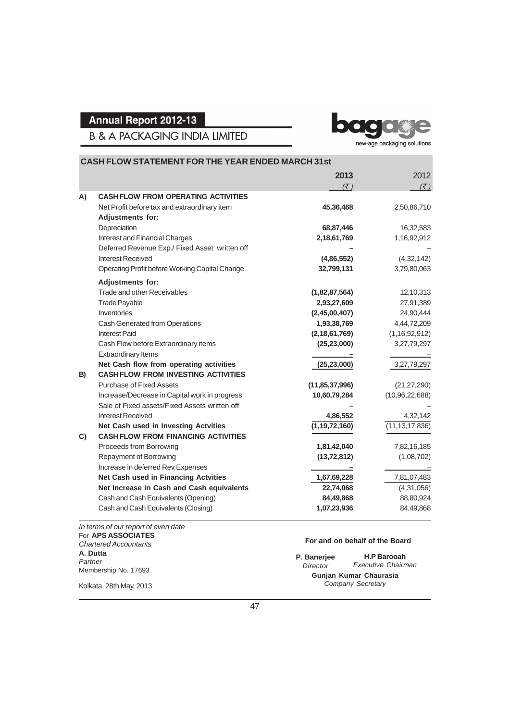ba

**B & A PACKAGING INDIA LIMITED** 

new-age packaging solutions

|    | <b>CASH FLOW STATEMENT FOR THE YEAR ENDED MARCH 31st</b>                   |                            |                   |  |  |
|----|----------------------------------------------------------------------------|----------------------------|-------------------|--|--|
|    |                                                                            | 2013                       | 2012              |  |  |
|    |                                                                            | $(\overline{\mathcal{F}})$ | (3)               |  |  |
| A) | <b>CASH FLOW FROM OPERATING ACTIVITIES</b>                                 |                            |                   |  |  |
|    | Net Profit before tax and extraordinary item                               | 45,36,468                  | 2,50,86,710       |  |  |
|    | <b>Adjustments for:</b>                                                    |                            |                   |  |  |
|    | Depreciation<br>Interest and Financial Charges                             | 68,87,446                  | 16,32,583         |  |  |
|    |                                                                            | 2,18,61,769                | 1,16,92,912       |  |  |
|    | Deferred Revenue Exp./ Fixed Asset written off<br><b>Interest Received</b> | (4,86,552)                 | (4, 32, 142)      |  |  |
|    | Operating Profit before Working Capital Change                             | 32,799,131                 | 3,79,80,063       |  |  |
|    |                                                                            |                            |                   |  |  |
|    | <b>Adjustments for:</b>                                                    |                            |                   |  |  |
|    | Trade and other Receivables                                                | (1,82,87,564)              | 12,10,313         |  |  |
|    | <b>Trade Payable</b>                                                       | 2,93,27,609                | 27,91,389         |  |  |
|    | Inventories                                                                | (2,45,00,407)              | 24,90,444         |  |  |
|    | Cash Generated from Operations                                             | 1,93,38,769                | 4,44,72,209       |  |  |
|    | <b>Interest Paid</b>                                                       | (2, 18, 61, 769)           | (1, 16, 92, 912)  |  |  |
|    | Cash Flow before Extraordinary items                                       | (25, 23, 000)              | 3,27,79,297       |  |  |
|    | <b>Extraordinary Items</b>                                                 |                            |                   |  |  |
|    | Net Cash flow from operating activities                                    | (25, 23, 000)              | 3,27,79,297       |  |  |
| B) | <b>CASH FLOW FROM INVESTING ACTIVITIES</b>                                 |                            |                   |  |  |
|    | <b>Purchase of Fixed Assets</b>                                            | (11, 85, 37, 996)          | (21, 27, 290)     |  |  |
|    | Increase/Decrease in Capital work in progress                              | 10,60,79,284               | (10, 96, 22, 688) |  |  |
|    | Sale of Fixed assets/Fixed Assets written off                              |                            |                   |  |  |
|    | Interest Received                                                          | 4,86,552                   | 4,32,142          |  |  |
|    | Net Cash used in Investing Actvities                                       | (1, 19, 72, 160)           | (11, 13, 17, 836) |  |  |
| C) | <b>CASH FLOW FROM FINANCING ACTIVITIES</b>                                 |                            |                   |  |  |
|    | Proceeds from Borrowing                                                    | 1,81,42,040                | 7,82,16,185       |  |  |
|    | Repayment of Borrowing                                                     | (13, 72, 812)              | (1,08,702)        |  |  |
|    | Increase in deferred Rev. Expenses                                         |                            |                   |  |  |
|    | Net Cash used in Financing Actvities                                       | 1,67,69,228                | 7,81,07,483       |  |  |
|    | Net Increase in Cash and Cash equivalents                                  | 22,74,068                  | (4,31,056)        |  |  |
|    | Cash and Cash Equivalents (Opening)                                        | 84,49,868                  | 88,80,924         |  |  |
|    | Cash and Cash Equivalents (Closing)                                        | 1,07,23,936                | 84,49,868         |  |  |

*In terms of our report of even date* For **APS ASSOCIATES** *Chartered Accountants* **A. Dutta** *Partner* Membership No. 17693

Kolkata, 28th May, 2013

**For and on behalf of the Board**

**H.P Barooah** *Executive Chairman* **Gunjan Kumar Chaurasia** *Company Secretary* **P. Banerjee** *Director*